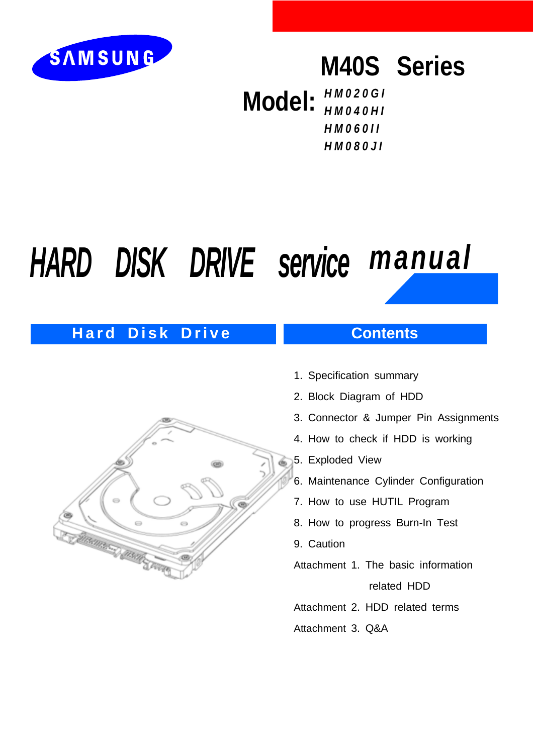

# **M40S Series**

**Model:** *HM020GI HM040HI HM060II HM080JI*

# *HARD DISK DRIVE service manual*

# **Hard Disk Drive Contents**

# **MARINARY MARIE STATE**

- 1. Specification summary
- 2. Block Diagram of HDD
- 3. Connector & Jumper Pin Assignments
- 4. How to check if HDD is working
- 5. Exploded View
- 6. Maintenance Cylinder Configuration
- 7. How to use HUTIL Program
- 8. How to progress Burn-In Test
- 9. Caution
- Attachment 1. The basic information

related HDD

- Attachment 2. HDD related terms
- Attachment 3. Q&A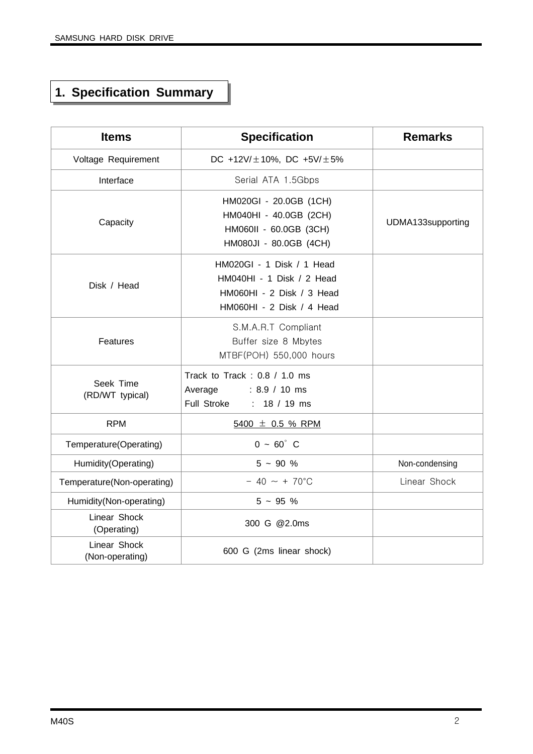# **1. Specification Summary**

| <b>Items</b>                    | <b>Specification</b>                                                                                             | <b>Remarks</b>    |
|---------------------------------|------------------------------------------------------------------------------------------------------------------|-------------------|
| Voltage Requirement             | DC +12V/ $\pm$ 10%, DC +5V/ $\pm$ 5%                                                                             |                   |
| Interface                       | Serial ATA 1.5Gbps                                                                                               |                   |
| Capacity                        | HM020GI - 20.0GB (1CH)<br>HM040HI - 40.0GB (2CH)<br>HM060II - 60.0GB (3CH)<br>HM080JI - 80.0GB (4CH)             | UDMA133supporting |
| Disk / Head                     | HM020GI - 1 Disk / 1 Head<br>HM040HI - 1 Disk / 2 Head<br>HM060HI - 2 Disk / 3 Head<br>HM060HI - 2 Disk / 4 Head |                   |
| Features                        | S.M.A.R.T Compliant<br>Buffer size 8 Mbytes<br>MTBF(POH) 550,000 hours                                           |                   |
| Seek Time<br>(RD/WT typical)    | Track to Track: 0.8 / 1.0 ms<br>Average<br>$: 8.9 / 10$ ms<br>Full Stroke<br>: $18 / 19$ ms                      |                   |
| <b>RPM</b>                      | $5400 \pm 0.5$ % RPM                                                                                             |                   |
| Temperature(Operating)          | $0 - 60^{\circ}$ C                                                                                               |                   |
| Humidity(Operating)             | $5 - 90 %$                                                                                                       | Non-condensing    |
| Temperature(Non-operating)      | $-40 \sim +70^{\circ}$ C                                                                                         | Linear Shock      |
| Humidity(Non-operating)         | $5 - 95 %$                                                                                                       |                   |
| Linear Shock<br>(Operating)     | 300 G @2.0ms                                                                                                     |                   |
| Linear Shock<br>(Non-operating) | 600 G (2ms linear shock)                                                                                         |                   |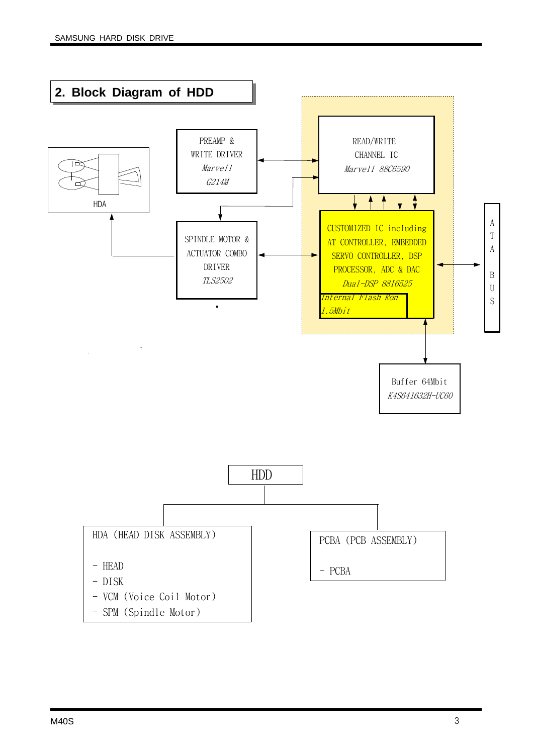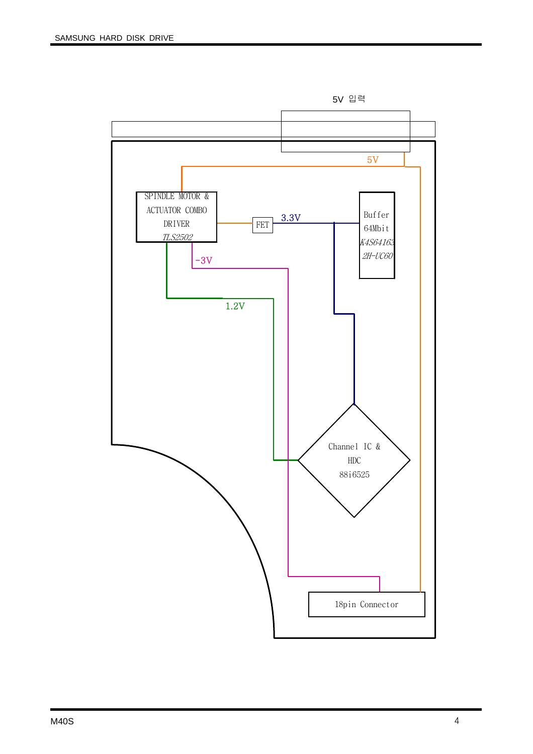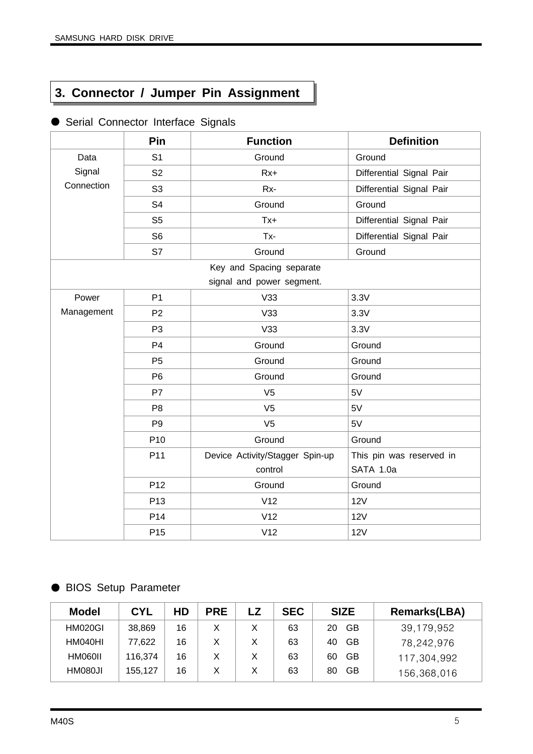# **3. Connector / Jumper Pin Assignment**

|            | Pin             | <b>Function</b>                 | <b>Definition</b>        |
|------------|-----------------|---------------------------------|--------------------------|
| Data       | S <sub>1</sub>  | Ground                          | Ground                   |
| Signal     | S <sub>2</sub>  | $Rx+$                           | Differential Signal Pair |
| Connection | S <sub>3</sub>  | Rx-                             | Differential Signal Pair |
|            | S <sub>4</sub>  | Ground                          | Ground                   |
|            | S <sub>5</sub>  | $Tx +$                          | Differential Signal Pair |
|            | S <sub>6</sub>  | Tx-                             | Differential Signal Pair |
|            | S7              | Ground                          | Ground                   |
|            |                 | Key and Spacing separate        |                          |
|            |                 | signal and power segment.       |                          |
| Power      | P <sub>1</sub>  | V33                             | 3.3V                     |
| Management | P <sub>2</sub>  | V33                             | 3.3V                     |
|            | P <sub>3</sub>  | V33                             | 3.3V                     |
|            | P <sub>4</sub>  | Ground                          | Ground                   |
|            | P <sub>5</sub>  | Ground                          | Ground                   |
|            | P <sub>6</sub>  | Ground                          | Ground                   |
|            | P7              | V <sub>5</sub>                  | 5V                       |
|            | P <sub>8</sub>  | V <sub>5</sub>                  | 5V                       |
|            | P <sub>9</sub>  | V <sub>5</sub>                  | 5V                       |
|            | P <sub>10</sub> | Ground                          | Ground                   |
|            | P11             | Device Activity/Stagger Spin-up | This pin was reserved in |
|            |                 | control                         | SATA 1.0a                |
|            | P <sub>12</sub> | Ground                          | Ground                   |
|            | P <sub>13</sub> | V12                             | 12V                      |
|            | P <sub>14</sub> | V12                             | <b>12V</b>               |
|            | P <sub>15</sub> | V12                             | 12V                      |

#### ● Serial Connector Interface Signals

#### ● BIOS Setup Parameter

| <b>Model</b> | <b>CYL</b> | HD | <b>PRE</b> | <b>SEC</b> | <b>SIZE</b>     | <b>Remarks(LBA)</b> |
|--------------|------------|----|------------|------------|-----------------|---------------------|
| HM020GI      | 38,869     | 16 |            | 63         | GB<br>20        | 39,179,952          |
| HM040HI      | 77,622     | 16 |            | 63         | <b>GB</b><br>40 | 78,242,976          |
| HM060II      | 116,374    | 16 |            | 63         | GB<br>60        | 117,304,992         |
| HM080JI      | 155,127    | 16 |            | 63         | GB<br>80        | 156,368,016         |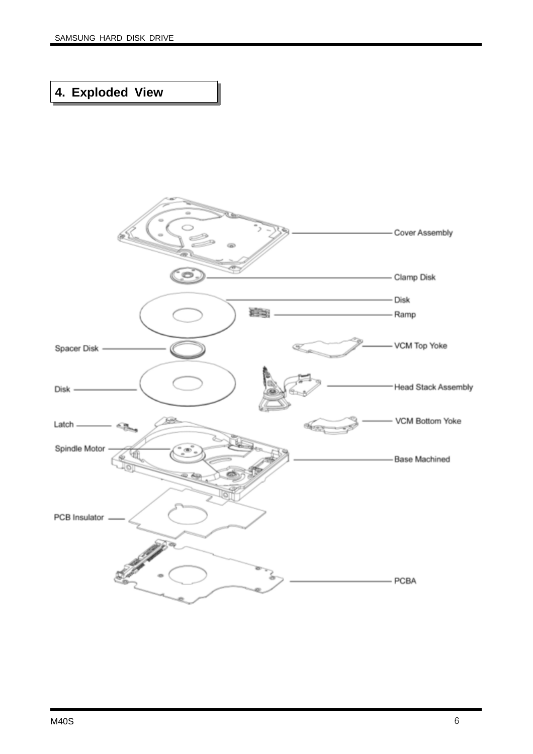# **4. Exploded View**

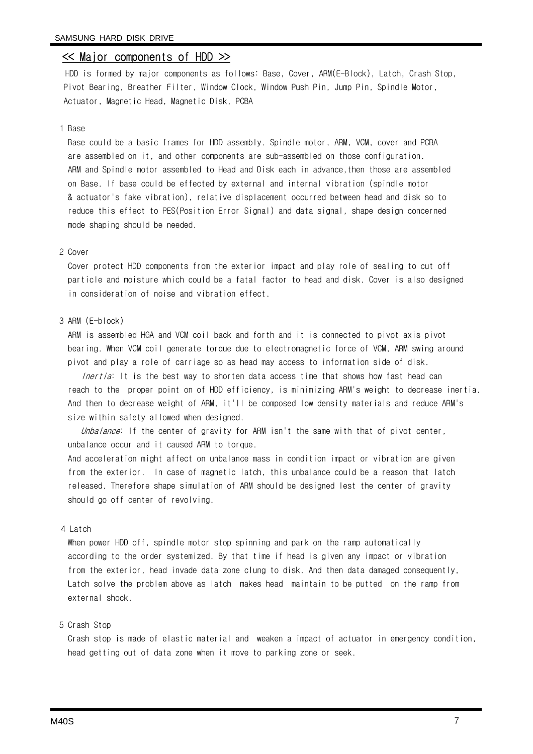#### << Major components of HDD >>

HDD is formed by major components as follows: Base, Cover, ARM(E-Block), Latch, Crash Stop, Pivot Bearing, Breather Filter, Window Clock, Window Push Pin, Jump Pin, Spindle Motor, Actuator, Magnetic Head, Magnetic Disk, PCBA

#### 1 Base

Base could be a basic frames for HDD assembly. Spindle motor, ARM, VCM, cover and PCBA are assembled on it, and other components are sub-assembled on those configuration. ARM and Spindle motor assembled to Head and Disk each in advance,then those are assembled on Base. If base could be effected by external and internal vibration (spindle motor & actuator's fake vibration), relative displacement occurred between head and disk so to reduce this effect to PES(Position Error Signal) and data signal, shape design concerned mode shaping should be needed.

#### 2 Cover

Cover protect HDD components from the exterior impact and play role of sealing to cut off particle and moisture which could be a fatal factor to head and disk. Cover is also designed in consideration of noise and vibration effect.

#### 3 ARM (E-block)

ARM is assembled HGA and VCM coil back and forth and it is connected to pivot axis pivot bearing. When VCM coil generate torque due to electromagnetic force of VCM, ARM swing around pivot and play a role of carriage so as head may access to information side of disk.

Inertia: It is the best way to shorten data access time that shows how fast head can reach to the proper point on of HDD efficiency, is minimizing ARM's weight to decrease inertia. And then to decrease weight of ARM, it'll be composed low density materials and reduce ARM's size within safety allowed when designed.

Unbalance: If the center of gravity for ARM isn't the same with that of pivot center, unbalance occur and it caused ARM to torque.

And acceleration might affect on unbalance mass in condition impact or vibration are given from the exterior. In case of magnetic latch, this unbalance could be a reason that latch released. Therefore shape simulation of ARM should be designed lest the center of gravity should go off center of revolving.

#### 4 Latch

When power HDD off, spindle motor stop spinning and park on the ramp automatically according to the order systemized. By that time if head is given any impact or vibration from the exterior, head invade data zone clung to disk. And then data damaged consequently, Latch solve the problem above as latch makes head maintain to be putted on the ramp from external shock.

#### 5 Crash Stop

Crash stop is made of elastic material and weaken a impact of actuator in emergency condition, head getting out of data zone when it move to parking zone or seek.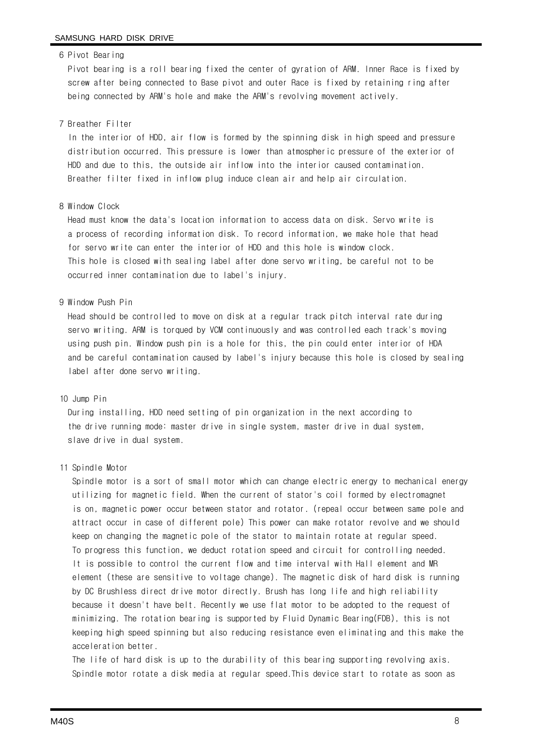#### 6 Pivot Bearing

Pivot bearing is a roll bearing fixed the center of gyration of ARM. Inner Race is fixed by screw after being connected to Base pivot and outer Race is fixed by retaining ring after being connected by ARM's hole and make the ARM's revolving movement actively.

#### 7 Breather Filter

In the interior of HDD, air flow is formed by the spinning disk in high speed and pressure distribution occurred. This pressure is lower than atmospheric pressure of the exterior of HDD and due to this, the outside air inflow into the interior caused contamination. Breather filter fixed in inflow plug induce clean air and help air circulation.

#### 8 Window Clock

Head must know the data's location information to access data on disk. Servo write is a process of recording information disk. To record information, we make hole that head for servo write can enter the interior of HDD and this hole is window clock. This hole is closed with sealing label after done servo writing, be careful not to be occurred inner contamination due to label's injury.

#### 9 Window Push Pin

Head should be controlled to move on disk at a regular track pitch interval rate during servo writing. ARM is torqued by VCM continuously and was controlled each track's moving using push pin. Window push pin is a hole for this, the pin could enter interior of HDA and be careful contamination caused by label's injury because this hole is closed by sealing label after done servo writing.

#### 10 Jump Pin

During installing, HDD need setting of pin organization in the next according to the drive running mode: master drive in single system, master drive in dual system, slave drive in dual system.

#### 11 Spindle Motor

Spindle motor is a sort of small motor which can change electric energy to mechanical energy utilizing for magnetic field. When the current of stator's coil formed by electromagnet is on, magnetic power occur between stator and rotator. (repeal occur between same pole and attract occur in case of different pole) This power can make rotator revolve and we should keep on changing the magnetic pole of the stator to maintain rotate at regular speed. To progress this function, we deduct rotation speed and circuit for controlling needed. It is possible to control the current flow and time interval with Hall element and MR element (these are sensitive to voltage change). The magnetic disk of hard disk is running by DC Brushless direct drive motor directly. Brush has long life and high reliability because it doesn't have belt. Recently we use flat motor to be adopted to the request of minimizing. The rotation bearing is supported by Fluid Dynamic Bearing(FDB), this is not keeping high speed spinning but also reducing resistance even eliminating and this make the acceleration better.

The life of hard disk is up to the durability of this bearing supporting revolving axis. Spindle motor rotate a disk media at regular speed.This device start to rotate as soon as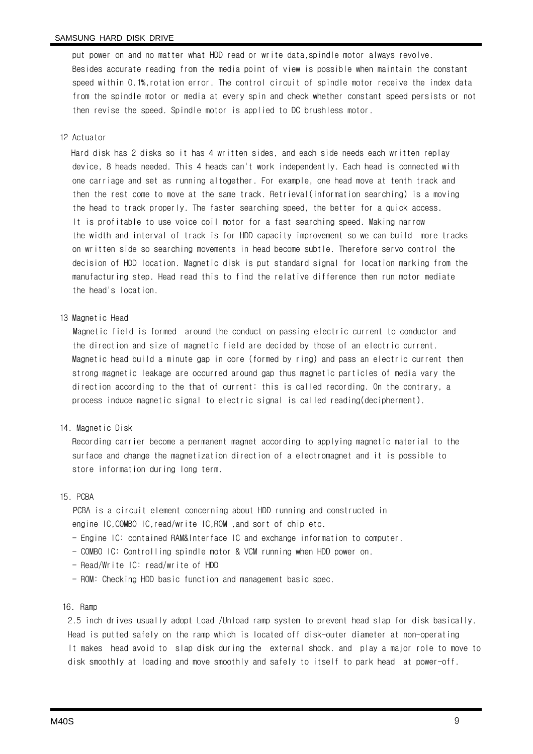put power on and no matter what HDD read or write data,spindle motor always revolve. Besides accurate reading from the media point of view is possible when maintain the constant speed within 0.1%,rotation error. The control circuit of spindle motor receive the index data from the spindle motor or media at every spin and check whether constant speed persists or not then revise the speed. Spindle motor is applied to DC brushless motor.

#### 12 Actuator

Hard disk has 2 disks so it has 4 written sides, and each side needs each written replay device, 8 heads needed. This 4 heads can't work independently. Each head is connected with one carriage and set as running altogether. For example, one head move at tenth track and then the rest come to move at the same track. Retrieval(information searching) is a moving the head to track properly. The faster searching speed, the better for a quick access. It is profitable to use voice coil motor for a fast searching speed. Making narrow the width and interval of track is for HDD capacity improvement so we can build more tracks on written side so searching movements in head become subtle. Therefore servo control the decision of HDD location. Magnetic disk is put standard signal for location marking from the manufacturing step. Head read this to find the relative difference then run motor mediate the head's location.

#### 13 Magnetic Head

Magnetic field is formed around the conduct on passing electric current to conductor and the direction and size of magnetic field are decided by those of an electric current. Magnetic head build a minute gap in core (formed by ring) and pass an electric current then strong magnetic leakage are occurred around gap thus magnetic particles of media vary the direction according to the that of current: this is called recording. On the contrary, a process induce magnetic signal to electric signal is called reading(decipherment).

#### 14. Magnetic Disk

Recording carrier become a permanent magnet according to applying magnetic material to the surface and change the magnetization direction of a electromagnet and it is possible to store information during long term.

#### 15. PCBA

PCBA is a circuit element concerning about HDD running and constructed in engine IC,COMBO IC,read/write IC,ROM ,and sort of chip etc.

- Engine IC: contained RAM&Interface IC and exchange information to computer.
- COMBO IC: Controlling spindle motor & VCM running when HDD power on.
- Read/Write IC: read/write of HDD
- ROM: Checking HDD basic function and management basic spec.

#### 16. Ramp

2.5 inch drives usually adopt Load /Unload ramp system to prevent head slap for disk basically. Head is putted safely on the ramp which is located off disk-outer diameter at non-operating It makes head avoid to slap disk during the external shock. and play a major role to move to disk smoothly at loading and move smoothly and safely to itself to park head at power-off.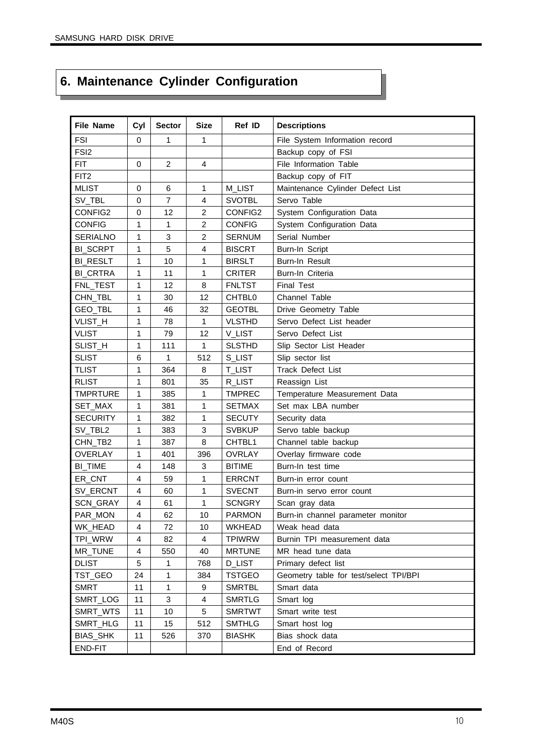# **6. Maintenance Cylinder Configuration**

| <b>File Name</b>    | Cyl         | <b>Sector</b>  | <b>Size</b>    | Ref ID             | <b>Descriptions</b>                    |
|---------------------|-------------|----------------|----------------|--------------------|----------------------------------------|
| <b>FSI</b>          | $\mathbf 0$ | 1              | 1              |                    | File System Information record         |
| FSI <sub>2</sub>    |             |                |                |                    | Backup copy of FSI                     |
| <b>FIT</b>          | 0           | $\overline{c}$ | 4              |                    | File Information Table                 |
| FIT <sub>2</sub>    |             |                |                |                    | Backup copy of FIT                     |
| <b>MLIST</b>        | 0           | 6              | 1              | M_LIST             | Maintenance Cylinder Defect List       |
| SV_TBL              | $\mathbf 0$ | $\overline{7}$ | $\overline{4}$ | <b>SVOTBL</b>      | Servo Table                            |
| CONFIG2             | 0           | 12             | $\overline{c}$ | CONFIG2            | System Configuration Data              |
| <b>CONFIG</b>       | 1           | 1              | $\overline{c}$ | <b>CONFIG</b>      | System Configuration Data              |
| <b>SERIALNO</b>     | 1           | 3              | 2              | <b>SERNUM</b>      | Serial Number                          |
| <b>BI_SCRPT</b>     | 1           | 5              | 4              | <b>BISCRT</b>      | Burn-In Script                         |
| <b>BI_RESLT</b>     | 1           | 10             | 1              | <b>BIRSLT</b>      | Burn-In Result                         |
| <b>BI_CRTRA</b>     | 1           | 11             | 1              | <b>CRITER</b>      | Burn-In Criteria                       |
| FNL_TEST            | 1           | 12             | 8              | <b>FNLTST</b>      | <b>Final Test</b>                      |
| CHN_TBL             | 1           | 30             | 12             | CHTBL0             | Channel Table                          |
| GEO_TBL             | 1           | 46             | 32             | <b>GEOTBL</b>      | Drive Geometry Table                   |
| VLIST_H             | 1           | 78             | $\mathbf{1}$   | <b>VLSTHD</b>      | Servo Defect List header               |
| <b>VLIST</b>        | 1           | 79             | 12             | V_LIST             | Servo Defect List                      |
| SLIST_H             | 1           | 111            | 1              | <b>SLSTHD</b>      | Slip Sector List Header                |
| <b>SLIST</b>        | 6           | 1              | 512            | S LIST             | Slip sector list                       |
| <b>TLIST</b>        | 1           | 364            | 8              | <b>T_LIST</b>      | Track Defect List                      |
| <b>RLIST</b>        | 1           | 801            | 35             | R_LIST             | Reassign List                          |
| <b>TMPRTURE</b>     | 1           | 385            | 1              | <b>TMPREC</b>      | Temperature Measurement Data           |
| SET_MAX             | 1           | 381            | 1              | <b>SETMAX</b>      | Set max LBA number                     |
| <b>SECURITY</b>     | 1           | 382            | $\mathbf{1}$   | <b>SECUTY</b>      | Security data                          |
| SV_TBL2             | 1           | 383            | 3              | <b>SVBKUP</b>      | Servo table backup                     |
| CHN_TB <sub>2</sub> | 1           | 387            | 8              | CHTBL <sub>1</sub> | Channel table backup                   |
| <b>OVERLAY</b>      | 1           | 401            | 396            | <b>OVRLAY</b>      | Overlay firmware code                  |
| <b>BI_TIME</b>      | 4           | 148            | 3              | <b>BITIME</b>      | Burn-In test time                      |
| ER_CNT              | 4           | 59             | 1              | <b>ERRCNT</b>      | Burn-in error count                    |
| SV_ERCNT            | 4           | 60             | 1              | <b>SVECNT</b>      | Burn-in servo error count              |
| SCN_GRAY            | 4           | 61             | 1              | <b>SCNGRY</b>      | Scan gray data                         |
| PAR_MON             | 4           | 62             | 10             | <b>PARMON</b>      | Burn-in channel parameter monitor      |
| WK_HEAD             | 4           | 72             | 10             | WKHEAD             | Weak head data                         |
| TPI_WRW             | 4           | 82             | 4              | <b>TPIWRW</b>      | Burnin TPI measurement data            |
| MR_TUNE             | 4           | 550            | 40             | <b>MRTUNE</b>      | MR head tune data                      |
| <b>DLIST</b>        | 5           | 1              | 768            | <b>D_LIST</b>      | Primary defect list                    |
| TST_GEO             | 24          | 1              | 384            | <b>TSTGEO</b>      | Geometry table for test/select TPI/BPI |
| <b>SMRT</b>         | 11          | 1              | 9              | <b>SMRTBL</b>      | Smart data                             |
| SMRT_LOG            | 11          | 3              | 4              | <b>SMRTLG</b>      | Smart log                              |
| SMRT_WTS            | 11          | 10             | 5              | <b>SMRTWT</b>      | Smart write test                       |
| SMRT_HLG            | 11          | 15             | 512            | <b>SMTHLG</b>      | Smart host log                         |
| <b>BIAS_SHK</b>     | 11          | 526            | 370            | <b>BIASHK</b>      | Bias shock data                        |
| END-FIT             |             |                |                |                    | End of Record                          |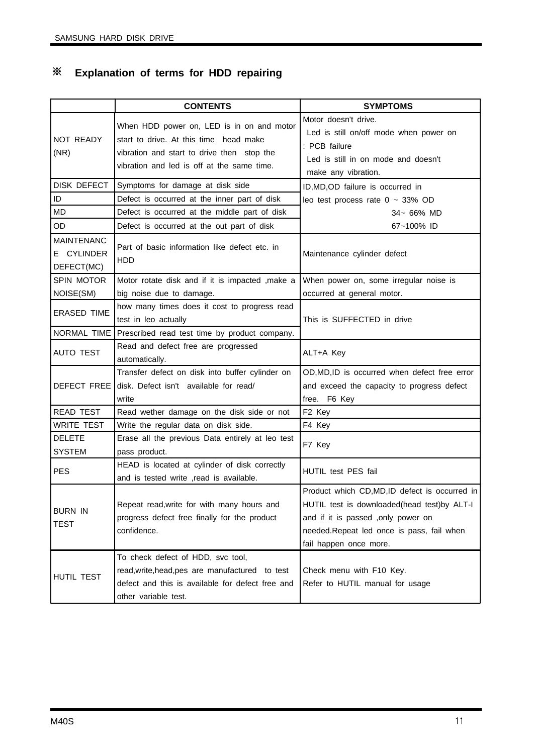# ※ **Explanation of terms for HDD repairing**

|                                               | <b>CONTENTS</b>                                                                                                                                                                 | <b>SYMPTOMS</b>                                                                                                                                                                                           |
|-----------------------------------------------|---------------------------------------------------------------------------------------------------------------------------------------------------------------------------------|-----------------------------------------------------------------------------------------------------------------------------------------------------------------------------------------------------------|
| NOT READY<br>(NR)                             | When HDD power on, LED is in on and motor<br>start to drive. At this time head make<br>vibration and start to drive then stop the<br>vibration and led is off at the same time. | Motor doesn't drive.<br>Led is still on/off mode when power on<br>: PCB failure<br>Led is still in on mode and doesn't<br>make any vibration.                                                             |
| DISK DEFECT                                   | Symptoms for damage at disk side                                                                                                                                                | ID, MD, OD failure is occurred in                                                                                                                                                                         |
| ID                                            | Defect is occurred at the inner part of disk                                                                                                                                    | leo test process rate $0 \sim 33\%$ OD                                                                                                                                                                    |
| <b>MD</b>                                     | Defect is occurred at the middle part of disk                                                                                                                                   | 34~ 66% MD                                                                                                                                                                                                |
| OD                                            | Defect is occurred at the out part of disk                                                                                                                                      | 67~100% ID                                                                                                                                                                                                |
| <b>MAINTENANC</b><br>E CYLINDER<br>DEFECT(MC) | Part of basic information like defect etc. in<br>HDD                                                                                                                            | Maintenance cylinder defect                                                                                                                                                                               |
| <b>SPIN MOTOR</b>                             | Motor rotate disk and if it is impacted , make a                                                                                                                                | When power on, some irregular noise is                                                                                                                                                                    |
| NOISE(SM)                                     | big noise due to damage.                                                                                                                                                        | occurred at general motor.                                                                                                                                                                                |
| <b>ERASED TIME</b>                            | how many times does it cost to progress read<br>test in leo actually                                                                                                            | This is SUFFECTED in drive                                                                                                                                                                                |
|                                               | NORMAL TIME Prescribed read test time by product company.                                                                                                                       |                                                                                                                                                                                                           |
| <b>AUTO TEST</b>                              | Read and defect free are progressed<br>automatically.                                                                                                                           | ALT+A Key                                                                                                                                                                                                 |
| DEFECT FREE                                   | Transfer defect on disk into buffer cylinder on<br>disk. Defect isn't available for read/<br>write                                                                              | OD, MD, ID is occurred when defect free error<br>and exceed the capacity to progress defect<br>free. F6 Key                                                                                               |
| <b>READ TEST</b>                              | Read wether damage on the disk side or not                                                                                                                                      | F <sub>2</sub> Key                                                                                                                                                                                        |
| <b>WRITE TEST</b>                             | Write the regular data on disk side.                                                                                                                                            | F4 Key                                                                                                                                                                                                    |
| <b>DELETE</b><br><b>SYSTEM</b>                | Erase all the previous Data entirely at leo test<br>pass product.                                                                                                               | F7 Key                                                                                                                                                                                                    |
| <b>PES</b>                                    | HEAD is located at cylinder of disk correctly<br>and is tested write , read is available.                                                                                       | HUTIL test PES fail                                                                                                                                                                                       |
| <b>BURN IN</b><br><b>TEST</b>                 | Repeat read, write for with many hours and<br>progress defect free finally for the product<br>confidence.                                                                       | Product which CD,MD,ID defect is occurred in<br>HUTIL test is downloaded(head test)by ALT-I<br>and if it is passed , only power on<br>needed.Repeat led once is pass, fail when<br>fail happen once more. |
| HUTIL TEST                                    | To check defect of HDD, svc tool,<br>read, write, head, pes are manufactured to test<br>defect and this is available for defect free and<br>other variable test.                | Check menu with F10 Key.<br>Refer to HUTIL manual for usage                                                                                                                                               |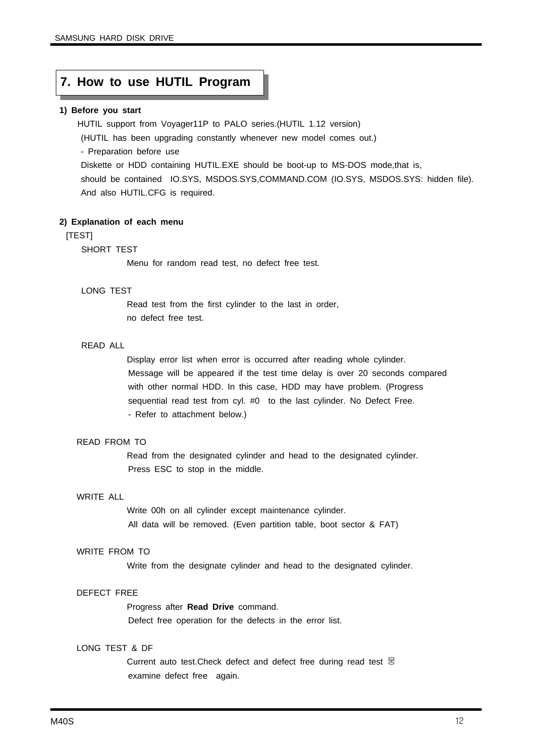#### **7. How to use HUTIL Program**

#### **1) Before you start**

HUTIL support from Voyager11P to PALO series.(HUTIL 1.12 version)

(HUTIL has been upgrading constantly whenever new model comes out.)

- Preparation before use

Diskette or HDD containing HUTIL.EXE should be boot-up to MS-DOS mode,that is, should be contained IO.SYS, MSDOS.SYS,COMMAND.COM (IO.SYS, MSDOS.SYS: hidden file). And also HUTIL.CFG is required.

#### **2) Explanation of each menu**

#### [TEST]

#### SHORT TEST

Menu for random read test, no defect free test.

#### LONG TEST

Read test from the first cylinder to the last in order, no defect free test.

#### READ ALL

Display error list when error is occurred after reading whole cylinder. Message will be appeared if the test time delay is over 20 seconds compared with other normal HDD. In this case, HDD may have problem. (Progress sequential read test from cyl. #0 to the last cylinder. No Defect Free. - Refer to attachment below.)

#### READ FROM TO

Read from the designated cylinder and head to the designated cylinder. Press ESC to stop in the middle.

#### WRITE ALL

Write 00h on all cylinder except maintenance cylinder. All data will be removed. (Even partition table, boot sector & FAT)

#### WRITE FROM TO

Write from the designate cylinder and head to the designated cylinder.

#### DEFECT FREE

Progress after **Read Drive** command.

Defect free operation for the defects in the error list.

#### LONG TEST & DF

Current auto test. Check defect and defect free during read test 뭉 examine defect free again.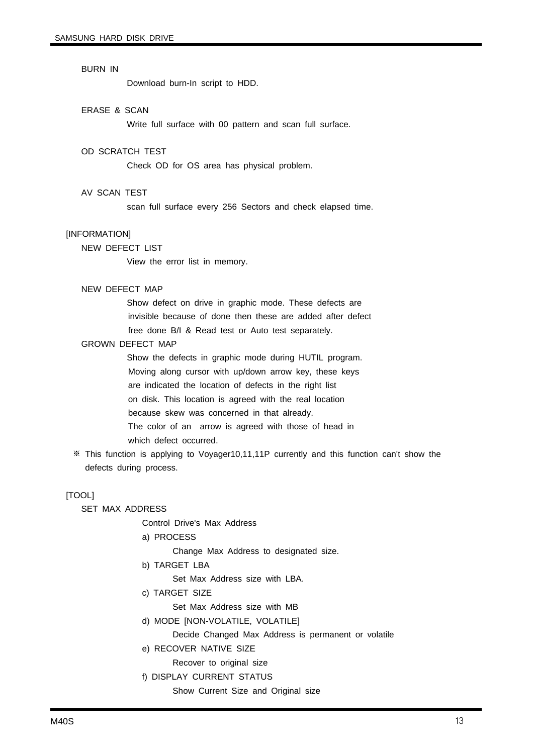#### BURN IN

Download burn-In script to HDD.

#### ERASE & SCAN

Write full surface with 00 pattern and scan full surface.

#### OD SCRATCH TEST

Check OD for OS area has physical problem.

#### AV SCAN TEST

scan full surface every 256 Sectors and check elapsed time.

#### [INFORMATION]

NEW DEFECT LIST

View the error list in memory.

#### NEW DEFECT MAP

Show defect on drive in graphic mode. These defects are invisible because of done then these are added after defect free done B/I & Read test or Auto test separately.

#### GROWN DEFECT MAP

Show the defects in graphic mode during HUTIL program. Moving along cursor with up/down arrow key, these keys are indicated the location of defects in the right list on disk. This location is agreed with the real location because skew was concerned in that already. The color of an arrow is agreed with those of head in which defect occurred.

※ This function is applying to Voyager10,11,11P currently and this function can't show the defects during process.

#### [TOOL]

SET MAX ADDRESS

Control Drive's Max Address

a) PROCESS

Change Max Address to designated size.

b) TARGET LBA

Set Max Address size with LBA.

c) TARGET SIZE

Set Max Address size with MB

d) MODE [NON-VOLATILE, VOLATILE]

Decide Changed Max Address is permanent or volatile

e) RECOVER NATIVE SIZE

Recover to original size

f) DISPLAY CURRENT STATUS

Show Current Size and Original size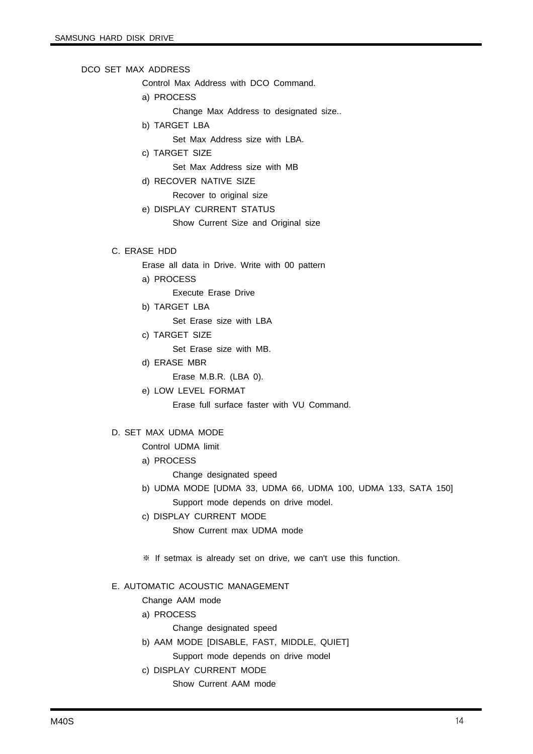#### DCO SET MAX ADDRESS

Control Max Address with DCO Command.

a) PROCESS

Change Max Address to designated size..

- b) TARGET LBA
	- Set Max Address size with LBA.
- c) TARGET SIZE

Set Max Address size with MB

d) RECOVER NATIVE SIZE

Recover to original size

e) DISPLAY CURRENT STATUS

Show Current Size and Original size

#### C. ERASE HDD

- Erase all data in Drive. Write with 00 pattern
- a) PROCESS
	- Execute Erase Drive
- b) TARGET LBA

Set Erase size with LBA

c) TARGET SIZE

Set Erase size with MB.

- d) ERASE MBR
	- Erase M.B.R. (LBA 0).
- e) LOW LEVEL FORMAT

Erase full surface faster with VU Command.

#### D. SET MAX UDMA MODE

Control UDMA limit

a) PROCESS

Change designated speed

- b) UDMA MODE [UDMA 33, UDMA 66, UDMA 100, UDMA 133, SATA 150] Support mode depends on drive model.
- c) DISPLAY CURRENT MODE

Show Current max UDMA mode

※ If setmax is already set on drive, we can't use this function.

#### E. AUTOMATIC ACOUSTIC MANAGEMENT

Change AAM mode

- a) PROCESS
	- Change designated speed
- b) AAM MODE [DISABLE, FAST, MIDDLE, QUIET]
	- Support mode depends on drive model
- c) DISPLAY CURRENT MODE
	- Show Current AAM mode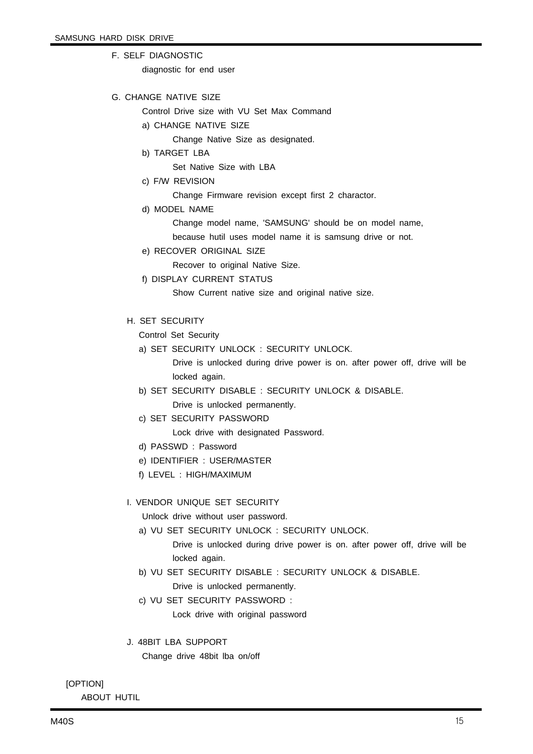F. SELF DIAGNOSTIC

diagnostic for end user

G. CHANGE NATIVE SIZE

Control Drive size with VU Set Max Command

- a) CHANGE NATIVE SIZE
	- Change Native Size as designated.
- b) TARGET LBA

Set Native Size with LBA

c) F/W REVISION

Change Firmware revision except first 2 charactor.

d) MODEL NAME

Change model name, 'SAMSUNG' should be on model name,

because hutil uses model name it is samsung drive or not.

e) RECOVER ORIGINAL SIZE

Recover to original Native Size.

f) DISPLAY CURRENT STATUS

Show Current native size and original native size.

H. SET SECURITY

Control Set Security

a) SET SECURITY UNLOCK : SECURITY UNLOCK.

Drive is unlocked during drive power is on. after power off, drive will be locked again.

- b) SET SECURITY DISABLE : SECURITY UNLOCK & DISABLE.
	- Drive is unlocked permanently.
- c) SET SECURITY PASSWORD

Lock drive with designated Password.

- d) PASSWD : Password
- e) IDENTIFIER : USER/MASTER
- f) LEVEL : HIGH/MAXIMUM

#### I. VENDOR UNIQUE SET SECURITY

Unlock drive without user password.

a) VU SET SECURITY UNLOCK : SECURITY UNLOCK.

Drive is unlocked during drive power is on. after power off, drive will be locked again.

- b) VU SET SECURITY DISABLE : SECURITY UNLOCK & DISABLE. Drive is unlocked permanently.
- c) VU SET SECURITY PASSWORD : Lock drive with original password
- J. 48BIT LBA SUPPORT Change drive 48bit lba on/off

[OPTION]

ABOUT HUTIL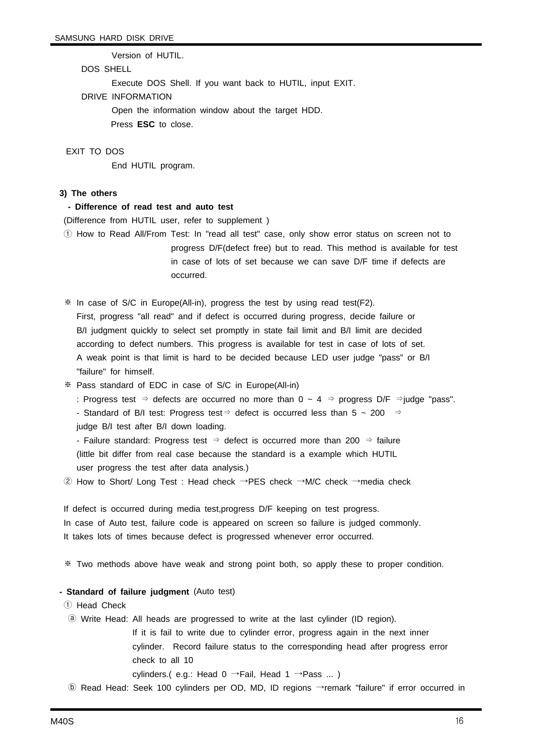Version of HUTIL.

#### DOS SHELL

Execute DOS Shell. If you want back to HUTIL, input EXIT.

#### DRIVE INFORMATION

Open the information window about the target HDD.

Press **ESC** to close.

#### EXIT TO DOS

End HUTIL program.

#### **3) The others**

#### **- Difference of read test and auto test**

(Difference from HUTIL user, refer to supplement )

① How to Read All/From Test: In "read all test" case, only show error status on screen not to progress D/F(defect free) but to read. This method is available for test in case of lots of set because we can save D/F time if defects are occurred.

※ In case of S/C in Europe(All-in), progress the test by using read test(F2). First, progress "all read" and if defect is occurred during progress, decide failure or B/I judgment quickly to select set promptly in state fail limit and B/I limit are decided according to defect numbers. This progress is available for test in case of lots of set. A weak point is that limit is hard to be decided because LED user judge "pass" or B/I "failure" for himself.

※ Pass standard of EDC in case of S/C in Europe(All-in)

: Progress test ⇒ defects are occurred no more than 0 ~ 4 ⇒ progress D/F ⇒judge "pass".

- Standard of B/I test: Progress test⇒ defect is occurred less than 5 ~ 200 ⇒

judge B/I test after B/I down loading.

- Failure standard: Progress test  $\Rightarrow$  defect is occurred more than 200  $\Rightarrow$  failure (little bit differ from real case because the standard is a example which HUTIL user progress the test after data analysis.)

② How to Short/ Long Test : Head check →PES check →M/C check →media check

If defect is occurred during media test,progress D/F keeping on test progress. In case of Auto test, failure code is appeared on screen so failure is judged commonly. It takes lots of times because defect is progressed whenever error occurred.

※ Two methods above have weak and strong point both, so apply these to proper condition.

#### **- Standard of failure judgment** (Auto test)

① Head Check

ⓐ Write Head: All heads are progressed to write at the last cylinder (ID region).

If it is fail to write due to cylinder error, progress again in the next inner cylinder. Record failure status to the corresponding head after progress error check to all 10

cylinders.( e.g.: Head 0  $\rightarrow$  Fail, Head 1  $\rightarrow$  Pass ...)

ⓑ Read Head: Seek 100 cylinders per OD, MD, ID regions →remark "failure" if error occurred in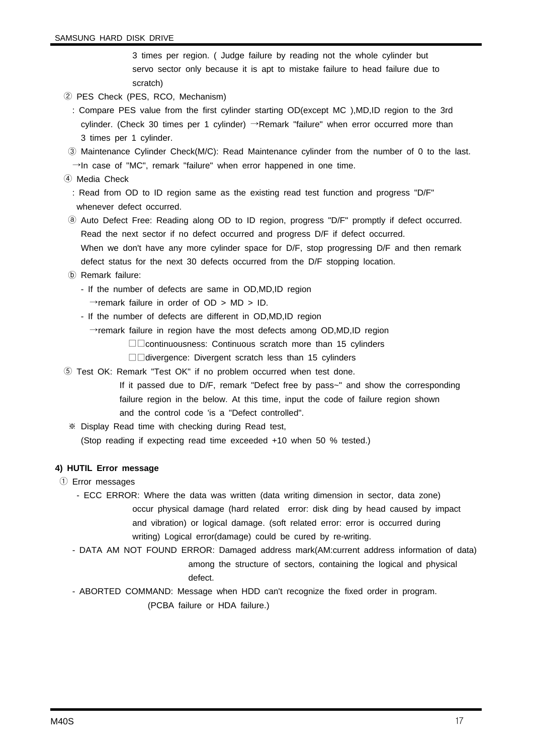3 times per region. ( Judge failure by reading not the whole cylinder but servo sector only because it is apt to mistake failure to head failure due to scratch)

- ② PES Check (PES, RCO, Mechanism)
	- : Compare PES value from the first cylinder starting OD(except MC ),MD,ID region to the 3rd cylinder. (Check 30 times per 1 cylinder) →Remark "failure" when error occurred more than 3 times per 1 cylinder.
- ③ Maintenance Cylinder Check(M/C): Read Maintenance cylinder from the number of 0 to the last.  $\rightarrow$ In case of "MC", remark "failure" when error happened in one time.
- ④ Media Check

: Read from OD to ID region same as the existing read test function and progress "D/F" whenever defect occurred.

- ⓐ Auto Defect Free: Reading along OD to ID region, progress "D/F" promptly if defect occurred. Read the next sector if no defect occurred and progress D/F if defect occurred. When we don't have any more cylinder space for D/F, stop progressing D/F and then remark defect status for the next 30 defects occurred from the D/F stopping location.
- ⓑ Remark failure:
	- If the number of defects are same in OD,MD,ID region
		- $\rightarrow$ remark failure in order of OD > MD > ID.
	- If the number of defects are different in OD,MD,ID region
		- $\rightarrow$ remark failure in region have the most defects among OD,MD,ID region
			- □□continuousness: Continuous scratch more than 15 cylinders
			- □□divergence: Divergent scratch less than 15 cylinders
- ⑤ Test OK: Remark "Test OK" if no problem occurred when test done.
	- If it passed due to D/F, remark "Defect free by pass~" and show the corresponding failure region in the below. At this time, input the code of failure region shown and the control code 'is a "Defect controlled".
	- ※ Display Read time with checking during Read test, (Stop reading if expecting read time exceeded +10 when 50 % tested.)

#### **4) HUTIL Error message**

- ① Error messages
	- ECC ERROR: Where the data was written (data writing dimension in sector, data zone) occur physical damage (hard related error: disk ding by head caused by impact and vibration) or logical damage. (soft related error: error is occurred during writing) Logical error(damage) could be cured by re-writing.
	- DATA AM NOT FOUND ERROR: Damaged address mark(AM:current address information of data) among the structure of sectors, containing the logical and physical
		- defect.
	- ABORTED COMMAND: Message when HDD can't recognize the fixed order in program. (PCBA failure or HDA failure.)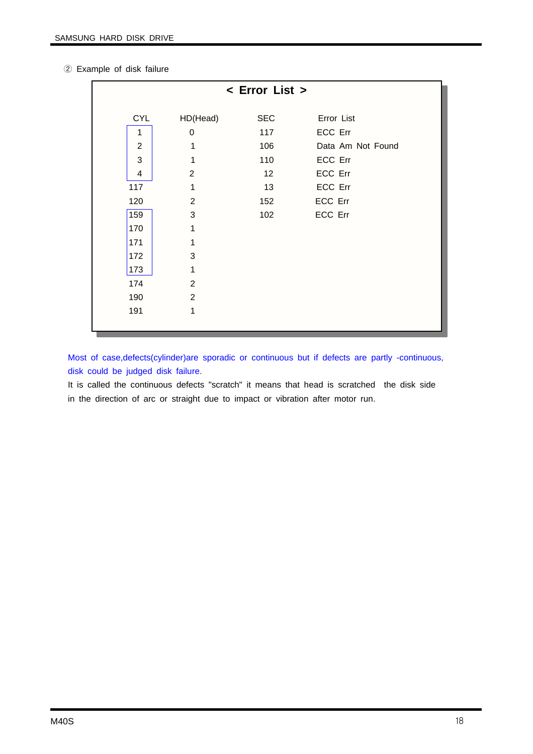|  | 2 Example of disk failure |  |  |  |
|--|---------------------------|--|--|--|
|--|---------------------------|--|--|--|

|                         |                | < Error List > |                   |
|-------------------------|----------------|----------------|-------------------|
| <b>CYL</b>              | HD(Head)       | <b>SEC</b>     | Error List        |
| 1                       | $\mathbf 0$    | 117            | ECC Err           |
| $\overline{2}$          | 1              | 106            | Data Am Not Found |
| 3                       | 1              | 110            | ECC Err           |
| $\overline{\mathbf{4}}$ | $\overline{2}$ | 12             | ECC Err           |
| 117                     | 1              | 13             | ECC Err           |
| 120                     | $\overline{2}$ | 152            | ECC Err           |
| 159                     | 3              | 102            | ECC Err           |
| 170                     | 1              |                |                   |
| 171                     | 1              |                |                   |
| 172                     | 3              |                |                   |
| 173                     | 1              |                |                   |
| 174                     | $\overline{2}$ |                |                   |
| 190                     | $\overline{2}$ |                |                   |
| 191                     | 1              |                |                   |
|                         |                |                |                   |

Most of case,defects(cylinder)are sporadic or continuous but if defects are partly -continuous, disk could be judged disk failure.

It is called the continuous defects "scratch" it means that head is scratched the disk side in the direction of arc or straight due to impact or vibration after motor run.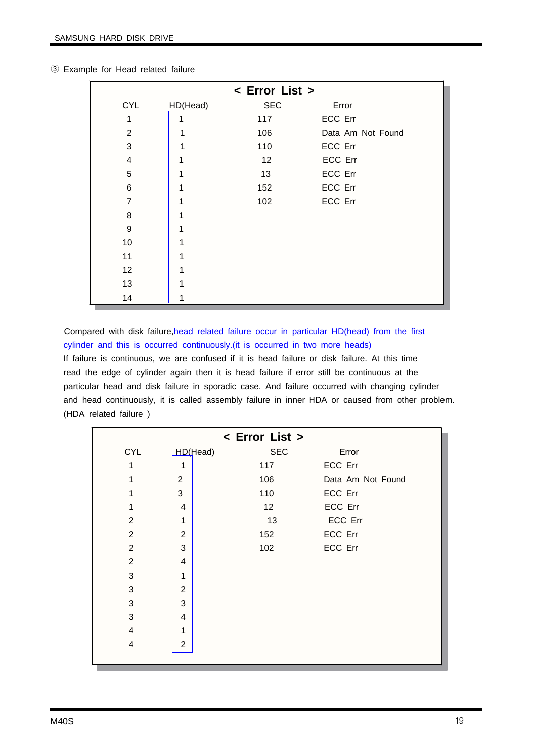|                         |   |                        | < Error List > |                   |
|-------------------------|---|------------------------|----------------|-------------------|
| <b>CYL</b>              |   | <b>SEC</b><br>HD(Head) | Error          |                   |
| 1                       | 1 | 117                    | ECC Err        |                   |
| $\overline{2}$          | 1 | 106                    |                | Data Am Not Found |
| 3                       | 1 | 110                    | ECC Err        |                   |
| $\overline{\mathbf{4}}$ | 1 | 12                     | ECC Err        |                   |
| 5                       | 1 | 13                     | ECC Err        |                   |
| 6                       | 1 | 152                    | ECC Err        |                   |
| $\overline{7}$          | 1 | 102                    | ECC Err        |                   |
| 8                       | 1 |                        |                |                   |
| 9                       | 1 |                        |                |                   |
| 10                      | 1 |                        |                |                   |
| 11                      | 1 |                        |                |                   |
| 12                      | 1 |                        |                |                   |
| 13                      | 1 |                        |                |                   |
| 14                      | 1 |                        |                |                   |

#### ③ Example for Head related failure

Compared with disk failure,head related failure occur in particular HD(head) from the first cylinder and this is occurred continuously.(it is occurred in two more heads) If failure is continuous, we are confused if it is head failure or disk failure. At this time read the edge of cylinder again then it is head failure if error still be continuous at the particular head and disk failure in sporadic case. And failure occurred with changing cylinder and head continuously, it is called assembly failure in inner HDA or caused from other problem. (HDA related failure )

|                |                |          | < Error List > |                   |
|----------------|----------------|----------|----------------|-------------------|
| CYL            |                | HD(Head) | <b>SEC</b>     | Error             |
| 1              | 1              |          | 117            | ECC Err           |
| 1              | $\overline{2}$ |          | 106            | Data Am Not Found |
| 1              | 3              |          | 110            | ECC Err           |
| 1              | 4              |          | 12             | ECC Err           |
| $\overline{2}$ | 1              |          | 13             | ECC Err           |
| $\overline{2}$ | $\overline{2}$ |          | 152            | ECC Err           |
| $\overline{2}$ | 3              |          | 102            | ECC Err           |
| $\overline{2}$ | 4              |          |                |                   |
| 3              | 1              |          |                |                   |
| 3              | 2              |          |                |                   |
| 3              | 3              |          |                |                   |
| 3              | 4              |          |                |                   |
| 4              | 1              |          |                |                   |
| 4              | $\overline{2}$ |          |                |                   |
|                |                |          |                |                   |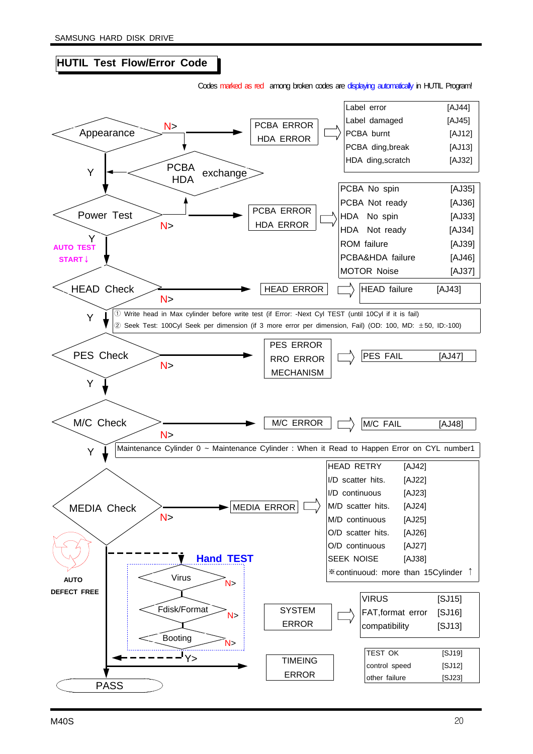#### **HUTIL Test Flow/Error Code**

Codes marked as red among broken codes are displaying automatically in HUTIL Program!

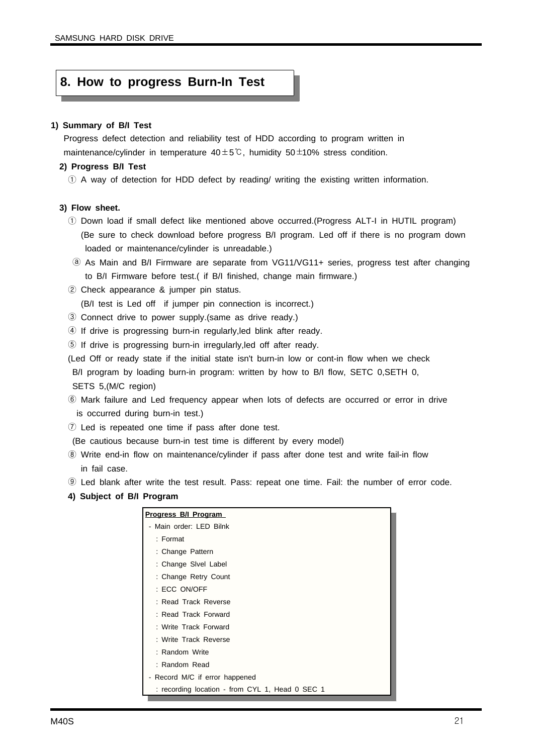#### **8. How to progress Burn-In Test**

#### **1) Summary of B/I Test**

Progress defect detection and reliability test of HDD according to program written in maintenance/cylinder in temperature  $40±5^{\circ}$ C, humidity  $50±10\%$  stress condition.

#### **2) Progress B/I Test**

① A way of detection for HDD defect by reading/ writing the existing written information.

#### **3) Flow sheet.**

- ① Down load if small defect like mentioned above occurred.(Progress ALT-I in HUTIL program) (Be sure to check download before progress B/I program. Led off if there is no program down loaded or maintenance/cylinder is unreadable.)
- ⓐ As Main and B/I Firmware are separate from VG11/VG11+ series, progress test after changing to B/I Firmware before test.( if B/I finished, change main firmware.)
- ② Check appearance & jumper pin status.

(B/I test is Led off if jumper pin connection is incorrect.)

- ③ Connect drive to power supply.(same as drive ready.)
- ④ If drive is progressing burn-in regularly,led blink after ready.
- ⑤ If drive is progressing burn-in irregularly,led off after ready.
- (Led Off or ready state if the initial state isn't burn-in low or cont-in flow when we check B/I program by loading burn-in program: written by how to B/I flow, SETC 0,SETH 0, SETS 5,(M/C region)
- ⑥ Mark failure and Led frequency appear when lots of defects are occurred or error in drive is occurred during burn-in test.)
- ⑦ Led is repeated one time if pass after done test.

(Be cautious because burn-in test time is different by every model)

- ⑧ Write end-in flow on maintenance/cylinder if pass after done test and write fail-in flow in fail case.
- ⑨ Led blank after write the test result. Pass: repeat one time. Fail: the number of error code.
- **4) Subject of B/I Program**

| Progress B/I Program                            |
|-------------------------------------------------|
| - Main order: LED Bilnk                         |
| : Format                                        |
| : Change Pattern                                |
| : Change Sivel Label                            |
| : Change Retry Count                            |
| : ECC ON/OFF                                    |
| : Read Track Reverse                            |
| : Read Track Forward                            |
| : Write Track Forward                           |
| : Write Track Reverse                           |
| : Random Write                                  |
| : Random Read                                   |
| - Record M/C if error happened                  |
| : recording location - from CYL 1, Head 0 SEC 1 |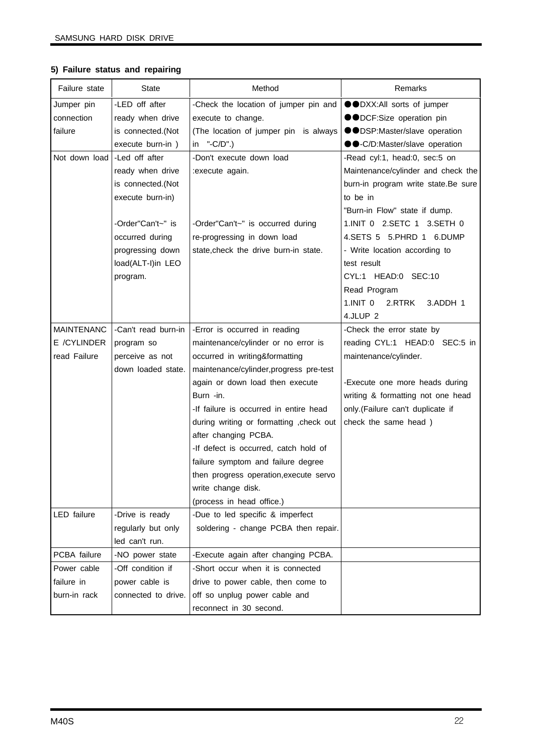#### **5) Failure status and repairing**

| Failure state     | <b>State</b>        | Method                                   | Remarks                             |
|-------------------|---------------------|------------------------------------------|-------------------------------------|
| Jumper pin        | -LED off after      | -Check the location of jumper pin and    | ●●DXX:All sorts of jumper           |
| connection        | ready when drive    | execute to change.                       | ●●DCF:Size operation pin            |
| failure           | is connected.(Not   | (The location of jumper pin is always    | ●●DSP:Master/slave operation        |
|                   | execute burn-in)    | in $"$ -C/D".)                           | ●●-C/D:Master/slave operation       |
| Not down load     | -Led off after      | -Don't execute down load                 | -Read cyl:1, head:0, sec:5 on       |
|                   | ready when drive    | :execute again.                          | Maintenance/cylinder and check the  |
|                   | is connected.(Not   |                                          | burn-in program write state.Be sure |
|                   | execute burn-in)    |                                          | to be in                            |
|                   |                     |                                          | "Burn-in Flow" state if dump.       |
|                   | -Order"Can't~" is   | -Order"Can't~" is occurred during        | 1.INIT 0 2.SETC 1 3.SETH 0          |
|                   | occurred during     | re-progressing in down load              | 4.SETS 5 5.PHRD 1 6.DUMP            |
|                   | progressing down    | state, check the drive burn-in state.    | - Write location according to       |
|                   | load(ALT-I)in LEO   |                                          | test result                         |
|                   | program.            |                                          | CYL:1 HEAD:0 SEC:10                 |
|                   |                     |                                          | Read Program                        |
|                   |                     |                                          | 1.INIT 0 2.RTRK<br>3.ADDH 1         |
|                   |                     |                                          | 4.JLUP <sub>2</sub>                 |
| <b>MAINTENANC</b> | -Can't read burn-in | -Error is occurred in reading            | -Check the error state by           |
| E /CYLINDER       | program so          | maintenance/cylinder or no error is      | reading CYL:1 HEAD:0 SEC:5 in       |
| read Failure      | perceive as not     | occurred in writing&formatting           | maintenance/cylinder.               |
|                   | down loaded state.  | maintenance/cylinder, progress pre-test  |                                     |
|                   |                     | again or down load then execute          | -Execute one more heads during      |
|                   |                     | Burn -in.                                | writing & formatting not one head   |
|                   |                     | -If failure is occurred in entire head   | only.(Failure can't duplicate if    |
|                   |                     | during writing or formatting , check out | check the same head)                |
|                   |                     | after changing PCBA.                     |                                     |
|                   |                     | -If defect is occurred, catch hold of    |                                     |
|                   |                     | failure symptom and failure degree       |                                     |
|                   |                     | then progress operation, execute servo   |                                     |
|                   |                     | write change disk.                       |                                     |
|                   |                     | (process in head office.)                |                                     |
| LED failure       | -Drive is ready     | -Due to led specific & imperfect         |                                     |
|                   | regularly but only  | soldering - change PCBA then repair.     |                                     |
|                   | led can't run.      |                                          |                                     |
| PCBA failure      | -NO power state     | -Execute again after changing PCBA.      |                                     |
| Power cable       | -Off condition if   | -Short occur when it is connected        |                                     |
| failure in        | power cable is      | drive to power cable, then come to       |                                     |
| burn-in rack      | connected to drive. | off so unplug power cable and            |                                     |
|                   |                     | reconnect in 30 second.                  |                                     |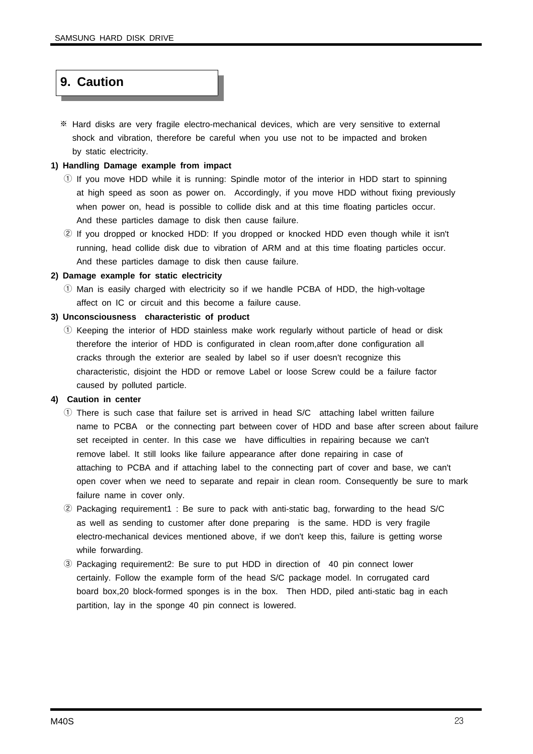### **9. Caution**

※ Hard disks are very fragile electro-mechanical devices, which are very sensitive to external shock and vibration, therefore be careful when you use not to be impacted and broken by static electricity.

#### **1) Handling Damage example from impact**

- $\odot$  If you move HDD while it is running: Spindle motor of the interior in HDD start to spinning at high speed as soon as power on. Accordingly, if you move HDD without fixing previously when power on, head is possible to collide disk and at this time floating particles occur. And these particles damage to disk then cause failure.
- ② If you dropped or knocked HDD: If you dropped or knocked HDD even though while it isn't running, head collide disk due to vibration of ARM and at this time floating particles occur. And these particles damage to disk then cause failure.

#### **2) Damage example for static electricity**

① Man is easily charged with electricity so if we handle PCBA of HDD, the high-voltage affect on IC or circuit and this become a failure cause.

#### **3) Unconsciousness characteristic of product**

① Keeping the interior of HDD stainless make work regularly without particle of head or disk therefore the interior of HDD is configurated in clean room,after done configuration all cracks through the exterior are sealed by label so if user doesn't recognize this characteristic, disjoint the HDD or remove Label or loose Screw could be a failure factor caused by polluted particle.

#### **4) Caution in center**

- ① There is such case that failure set is arrived in head S/C attaching label written failure name to PCBA or the connecting part between cover of HDD and base after screen about failure set receipted in center. In this case we have difficulties in repairing because we can't remove label. It still looks like failure appearance after done repairing in case of attaching to PCBA and if attaching label to the connecting part of cover and base, we can't open cover when we need to separate and repair in clean room. Consequently be sure to mark failure name in cover only.
- ② Packaging requirement1 : Be sure to pack with anti-static bag, forwarding to the head S/C as well as sending to customer after done preparing is the same. HDD is very fragile electro-mechanical devices mentioned above, if we don't keep this, failure is getting worse while forwarding.
- ③ Packaging requirement2: Be sure to put HDD in direction of 40 pin connect lower certainly. Follow the example form of the head S/C package model. In corrugated card board box,20 block-formed sponges is in the box. Then HDD, piled anti-static bag in each partition, lay in the sponge 40 pin connect is lowered.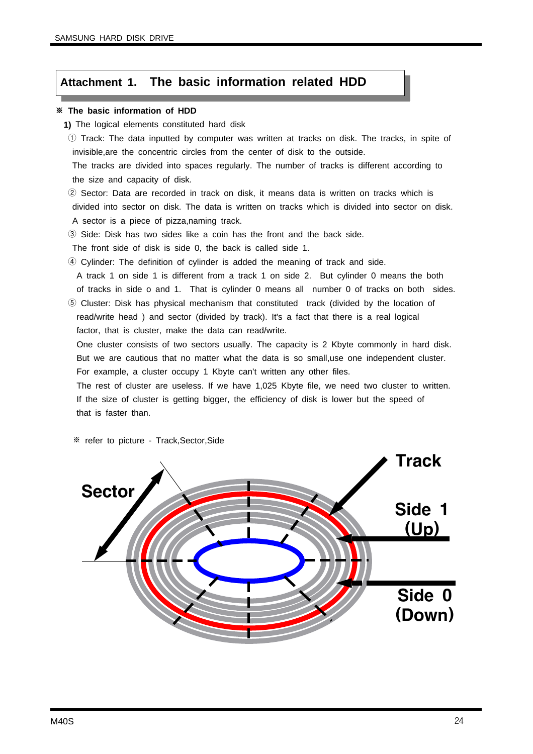#### **Attachment 1. The basic information related HDD**

#### ※ **The basic information of HDD**

- **1)** The logical elements constituted hard disk
- ① Track: The data inputted by computer was written at tracks on disk. The tracks, in spite of invisible,are the concentric circles from the center of disk to the outside.

The tracks are divided into spaces regularly. The number of tracks is different according to the size and capacity of disk.

② Sector: Data are recorded in track on disk, it means data is written on tracks which is divided into sector on disk. The data is written on tracks which is divided into sector on disk. A sector is a piece of pizza,naming track.

③ Side: Disk has two sides like a coin has the front and the back side.

The front side of disk is side 0, the back is called side 1.

④ Cylinder: The definition of cylinder is added the meaning of track and side.

A track 1 on side 1 is different from a track 1 on side 2. But cylinder 0 means the both of tracks in side o and 1. That is cylinder 0 means all number 0 of tracks on both sides.

⑤ Cluster: Disk has physical mechanism that constituted track (divided by the location of read/write head ) and sector (divided by track). It's a fact that there is a real logical factor, that is cluster, make the data can read/write.

One cluster consists of two sectors usually. The capacity is 2 Kbyte commonly in hard disk. But we are cautious that no matter what the data is so small,use one independent cluster. For example, a cluster occupy 1 Kbyte can't written any other files.

The rest of cluster are useless. If we have 1,025 Kbyte file, we need two cluster to written. If the size of cluster is getting bigger, the efficiency of disk is lower but the speed of that is faster than.

※ refer to picture - Track,Sector,Side

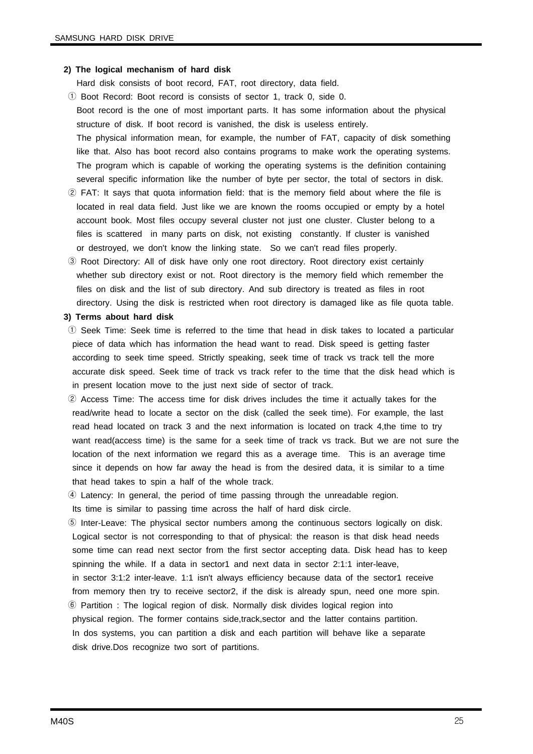#### **2) The logical mechanism of hard disk**

Hard disk consists of boot record, FAT, root directory, data field.

- ① Boot Record: Boot record is consists of sector 1, track 0, side 0. Boot record is the one of most important parts. It has some information about the physical structure of disk. If boot record is vanished, the disk is useless entirely. The physical information mean, for example, the number of FAT, capacity of disk something like that. Also has boot record also contains programs to make work the operating systems. The program which is capable of working the operating systems is the definition containing several specific information like the number of byte per sector, the total of sectors in disk.
- ② FAT: It says that quota information field: that is the memory field about where the file is located in real data field. Just like we are known the rooms occupied or empty by a hotel account book. Most files occupy several cluster not just one cluster. Cluster belong to a files is scattered in many parts on disk, not existing constantly. If cluster is vanished or destroyed, we don't know the linking state. So we can't read files properly.
- ③ Root Directory: All of disk have only one root directory. Root directory exist certainly whether sub directory exist or not. Root directory is the memory field which remember the files on disk and the list of sub directory. And sub directory is treated as files in root directory. Using the disk is restricted when root directory is damaged like as file quota table.

#### **3) Terms about hard disk**

- ① Seek Time: Seek time is referred to the time that head in disk takes to located a particular piece of data which has information the head want to read. Disk speed is getting faster according to seek time speed. Strictly speaking, seek time of track vs track tell the more accurate disk speed. Seek time of track vs track refer to the time that the disk head which is in present location move to the just next side of sector of track.
- ② Access Time: The access time for disk drives includes the time it actually takes for the read/write head to locate a sector on the disk (called the seek time). For example, the last read head located on track 3 and the next information is located on track 4,the time to try want read(access time) is the same for a seek time of track vs track. But we are not sure the location of the next information we regard this as a average time. This is an average time since it depends on how far away the head is from the desired data, it is similar to a time that head takes to spin a half of the whole track.
- ④ Latency: In general, the period of time passing through the unreadable region.

Its time is similar to passing time across the half of hard disk circle.

- ⑤ Inter-Leave: The physical sector numbers among the continuous sectors logically on disk. Logical sector is not corresponding to that of physical: the reason is that disk head needs some time can read next sector from the first sector accepting data. Disk head has to keep spinning the while. If a data in sector1 and next data in sector 2:1:1 inter-leave, in sector 3:1:2 inter-leave. 1:1 isn't always efficiency because data of the sector1 receive from memory then try to receive sector2, if the disk is already spun, need one more spin.
- ⑥ Partition : The logical region of disk. Normally disk divides logical region into physical region. The former contains side,track,sector and the latter contains partition. In dos systems, you can partition a disk and each partition will behave like a separate disk drive.Dos recognize two sort of partitions.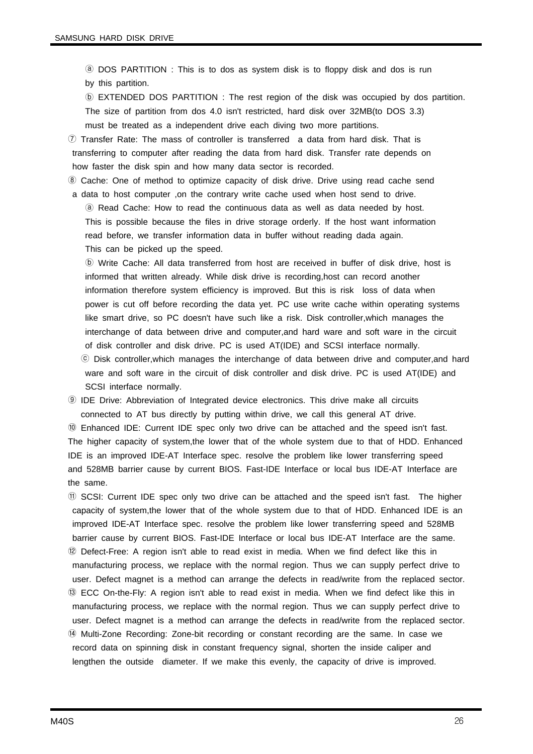ⓐ DOS PARTITION : This is to dos as system disk is to floppy disk and dos is run by this partition.

ⓑ EXTENDED DOS PARTITION : The rest region of the disk was occupied by dos partition. The size of partition from dos 4.0 isn't restricted, hard disk over 32MB(to DOS 3.3) must be treated as a independent drive each diving two more partitions.

⑦ Transfer Rate: The mass of controller is transferred a data from hard disk. That is transferring to computer after reading the data from hard disk. Transfer rate depends on how faster the disk spin and how many data sector is recorded.

⑧ Cache: One of method to optimize capacity of disk drive. Drive using read cache send a data to host computer ,on the contrary write cache used when host send to drive. ⓐ Read Cache: How to read the continuous data as well as data needed by host. This is possible because the files in drive storage orderly. If the host want information

read before, we transfer information data in buffer without reading dada again.

This can be picked up the speed.

ⓑ Write Cache: All data transferred from host are received in buffer of disk drive, host is informed that written already. While disk drive is recording,host can record another information therefore system efficiency is improved. But this is risk loss of data when power is cut off before recording the data yet. PC use write cache within operating systems like smart drive, so PC doesn't have such like a risk. Disk controller,which manages the interchange of data between drive and computer,and hard ware and soft ware in the circuit of disk controller and disk drive. PC is used AT(IDE) and SCSI interface normally. ⓒ Disk controller,which manages the interchange of data between drive and computer,and hard ware and soft ware in the circuit of disk controller and disk drive. PC is used AT(IDE) and SCSI interface normally.

⑨ IDE Drive: Abbreviation of Integrated device electronics. This drive make all circuits connected to AT bus directly by putting within drive, we call this general AT drive.

⑩ Enhanced IDE: Current IDE spec only two drive can be attached and the speed isn't fast. The higher capacity of system,the lower that of the whole system due to that of HDD. Enhanced IDE is an improved IDE-AT Interface spec. resolve the problem like lower transferring speed and 528MB barrier cause by current BIOS. Fast-IDE Interface or local bus IDE-AT Interface are the same.

⑪ SCSI: Current IDE spec only two drive can be attached and the speed isn't fast. The higher capacity of system,the lower that of the whole system due to that of HDD. Enhanced IDE is an improved IDE-AT Interface spec. resolve the problem like lower transferring speed and 528MB barrier cause by current BIOS. Fast-IDE Interface or local bus IDE-AT Interface are the same. ⑫ Defect-Free: A region isn't able to read exist in media. When we find defect like this in manufacturing process, we replace with the normal region. Thus we can supply perfect drive to user. Defect magnet is a method can arrange the defects in read/write from the replaced sector. ⑬ ECC On-the-Fly: A region isn't able to read exist in media. When we find defect like this in manufacturing process, we replace with the normal region. Thus we can supply perfect drive to user. Defect magnet is a method can arrange the defects in read/write from the replaced sector. ⑭ Multi-Zone Recording: Zone-bit recording or constant recording are the same. In case we record data on spinning disk in constant frequency signal, shorten the inside caliper and lengthen the outside diameter. If we make this evenly, the capacity of drive is improved.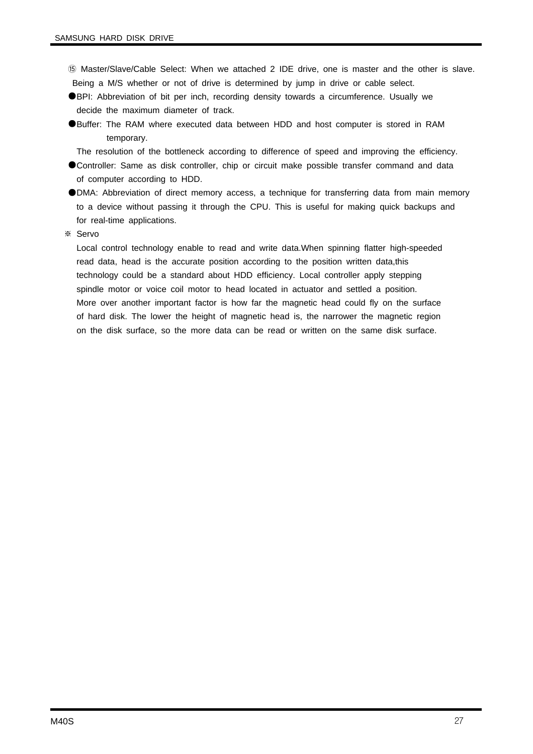- ⑮ Master/Slave/Cable Select: When we attached 2 IDE drive, one is master and the other is slave. Being a M/S whether or not of drive is determined by jump in drive or cable select.
- ●BPI: Abbreviation of bit per inch, recording density towards a circumference. Usually we decide the maximum diameter of track.
- ●Buffer: The RAM where executed data between HDD and host computer is stored in RAM temporary.
	- The resolution of the bottleneck according to difference of speed and improving the efficiency.
- ●Controller: Same as disk controller, chip or circuit make possible transfer command and data of computer according to HDD.
- ●DMA: Abbreviation of direct memory access, a technique for transferring data from main memory to a device without passing it through the CPU. This is useful for making quick backups and for real-time applications.
- ※ Servo

Local control technology enable to read and write data.When spinning flatter high-speeded read data, head is the accurate position according to the position written data,this technology could be a standard about HDD efficiency. Local controller apply stepping spindle motor or voice coil motor to head located in actuator and settled a position. More over another important factor is how far the magnetic head could fly on the surface of hard disk. The lower the height of magnetic head is, the narrower the magnetic region on the disk surface, so the more data can be read or written on the same disk surface.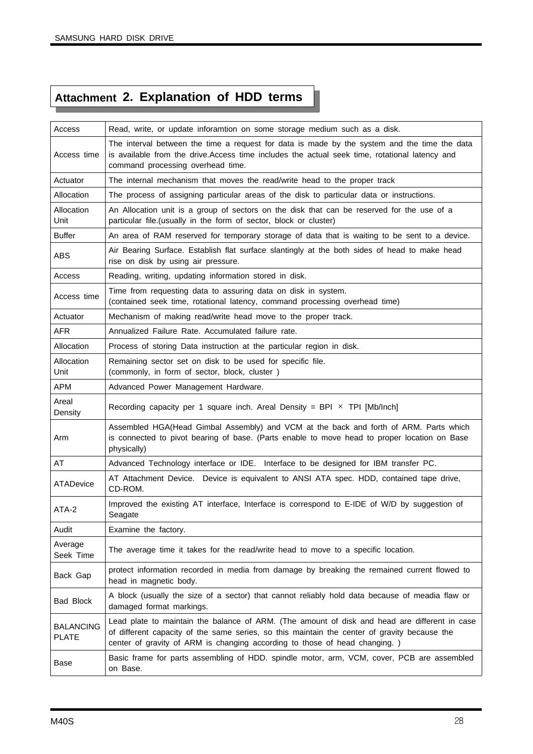# **Attachment 2. Explanation of HDD terms**

| Access                           | Read, write, or update inforamtion on some storage medium such as a disk.                                                                                                                                                                                                   |
|----------------------------------|-----------------------------------------------------------------------------------------------------------------------------------------------------------------------------------------------------------------------------------------------------------------------------|
| Access time                      | The interval between the time a request for data is made by the system and the time the data<br>is available from the drive. Access time includes the actual seek time, rotational latency and<br>command processing overhead time.                                         |
| Actuator                         | The internal mechanism that moves the read/write head to the proper track                                                                                                                                                                                                   |
| Allocation                       | The process of assigning particular areas of the disk to particular data or instructions.                                                                                                                                                                                   |
| Allocation<br>Unit               | An Allocation unit is a group of sectors on the disk that can be reserved for the use of a<br>particular file.(usually in the form of sector, block or cluster)                                                                                                             |
| <b>Buffer</b>                    | An area of RAM reserved for temporary storage of data that is waiting to be sent to a device.                                                                                                                                                                               |
| <b>ABS</b>                       | Air Bearing Surface. Establish flat surface slantingly at the both sides of head to make head<br>rise on disk by using air pressure.                                                                                                                                        |
| Access                           | Reading, writing, updating information stored in disk.                                                                                                                                                                                                                      |
| Access time                      | Time from requesting data to assuring data on disk in system.<br>(contained seek time, rotational latency, command processing overhead time)                                                                                                                                |
| Actuator                         | Mechanism of making read/write head move to the proper track.                                                                                                                                                                                                               |
| <b>AFR</b>                       | Annualized Failure Rate, Accumulated failure rate.                                                                                                                                                                                                                          |
| Allocation                       | Process of storing Data instruction at the particular region in disk.                                                                                                                                                                                                       |
| Allocation<br>Unit               | Remaining sector set on disk to be used for specific file.<br>(commonly, in form of sector, block, cluster)                                                                                                                                                                 |
| <b>APM</b>                       | Advanced Power Management Hardware.                                                                                                                                                                                                                                         |
| Areal<br>Density                 | Recording capacity per 1 square inch. Areal Density = BPI $\times$ TPI [Mb/Inch]                                                                                                                                                                                            |
| Arm                              | Assembled HGA(Head Gimbal Assembly) and VCM at the back and forth of ARM. Parts which<br>is connected to pivot bearing of base. (Parts enable to move head to proper location on Base<br>physically)                                                                        |
| AT                               | Advanced Technology interface or IDE. Interface to be designed for IBM transfer PC.                                                                                                                                                                                         |
| ATADevice                        | AT Attachment Device. Device is equivalent to ANSI ATA spec. HDD, contained tape drive,<br>CD-ROM.                                                                                                                                                                          |
| ATA-2                            | Improved the existing AT interface, Interface is correspond to E-IDE of W/D by suggestion of<br>Seagate                                                                                                                                                                     |
| Audit                            | Examine the factory.                                                                                                                                                                                                                                                        |
| Average<br>Seek Time             | The average time it takes for the read/write head to move to a specific location.                                                                                                                                                                                           |
| Back Gap                         | protect information recorded in media from damage by breaking the remained current flowed to<br>head in magnetic body.                                                                                                                                                      |
| <b>Bad Block</b>                 | A block (usually the size of a sector) that cannot reliably hold data because of meadia flaw or<br>damaged format markings.                                                                                                                                                 |
| <b>BALANCING</b><br><b>PLATE</b> | Lead plate to maintain the balance of ARM. (The amount of disk and head are different in case<br>of different capacity of the same series, so this maintain the center of gravity because the<br>center of gravity of ARM is changing according to those of head changing.) |
| Base                             | Basic frame for parts assembling of HDD. spindle motor, arm, VCM, cover, PCB are assembled<br>on Base.                                                                                                                                                                      |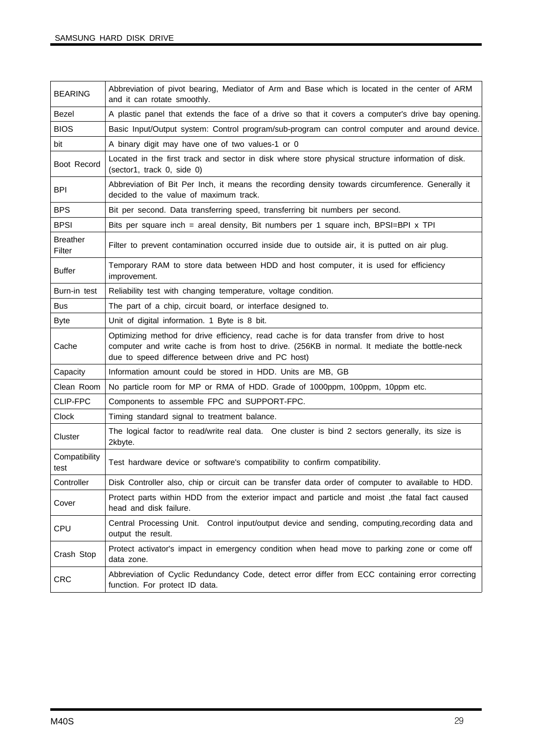| <b>BEARING</b>            | Abbreviation of pivot bearing, Mediator of Arm and Base which is located in the center of ARM<br>and it can rotate smoothly.                                                                                                                     |
|---------------------------|--------------------------------------------------------------------------------------------------------------------------------------------------------------------------------------------------------------------------------------------------|
| Bezel                     | A plastic panel that extends the face of a drive so that it covers a computer's drive bay opening.                                                                                                                                               |
| <b>BIOS</b>               | Basic Input/Output system: Control program/sub-program can control computer and around device.                                                                                                                                                   |
| bit                       | A binary digit may have one of two values-1 or 0                                                                                                                                                                                                 |
| Boot Record               | Located in the first track and sector in disk where store physical structure information of disk.<br>(sector1, track 0, side 0)                                                                                                                  |
| <b>BPI</b>                | Abbreviation of Bit Per Inch, it means the recording density towards circumference. Generally it<br>decided to the value of maximum track.                                                                                                       |
| <b>BPS</b>                | Bit per second. Data transferring speed, transferring bit numbers per second.                                                                                                                                                                    |
| <b>BPSI</b>               | Bits per square inch = areal density, Bit numbers per 1 square inch, BPSI=BPI x TPI                                                                                                                                                              |
| <b>Breather</b><br>Filter | Filter to prevent contamination occurred inside due to outside air, it is putted on air plug.                                                                                                                                                    |
| <b>Buffer</b>             | Temporary RAM to store data between HDD and host computer, it is used for efficiency<br>improvement.                                                                                                                                             |
| Burn-in test              | Reliability test with changing temperature, voltage condition.                                                                                                                                                                                   |
| <b>Bus</b>                | The part of a chip, circuit board, or interface designed to.                                                                                                                                                                                     |
| <b>Byte</b>               | Unit of digital information. 1 Byte is 8 bit.                                                                                                                                                                                                    |
| Cache                     | Optimizing method for drive efficiency, read cache is for data transfer from drive to host<br>computer and write cache is from host to drive. (256KB in normal. It mediate the bottle-neck<br>due to speed difference between drive and PC host) |
| Capacity                  | Information amount could be stored in HDD. Units are MB, GB                                                                                                                                                                                      |
| Clean Room                | No particle room for MP or RMA of HDD. Grade of 1000ppm, 100ppm, 10ppm etc.                                                                                                                                                                      |
| CLIP-FPC                  | Components to assemble FPC and SUPPORT-FPC.                                                                                                                                                                                                      |
| Clock                     | Timing standard signal to treatment balance.                                                                                                                                                                                                     |
| Cluster                   | The logical factor to read/write real data. One cluster is bind 2 sectors generally, its size is<br>2kbyte.                                                                                                                                      |
| Compatibility<br>test     | Test hardware device or software's compatibility to confirm compatibility.                                                                                                                                                                       |
| Controller                | Disk Controller also, chip or circuit can be transfer data order of computer to available to HDD.                                                                                                                                                |
| Cover                     | Protect parts within HDD from the exterior impact and particle and moist, the fatal fact caused<br>head and disk failure.                                                                                                                        |
| <b>CPU</b>                | Central Processing Unit. Control input/output device and sending, computing, recording data and<br>output the result.                                                                                                                            |
| Crash Stop                | Protect activator's impact in emergency condition when head move to parking zone or come off<br>data zone.                                                                                                                                       |
| <b>CRC</b>                | Abbreviation of Cyclic Redundancy Code, detect error differ from ECC containing error correcting<br>function. For protect ID data.                                                                                                               |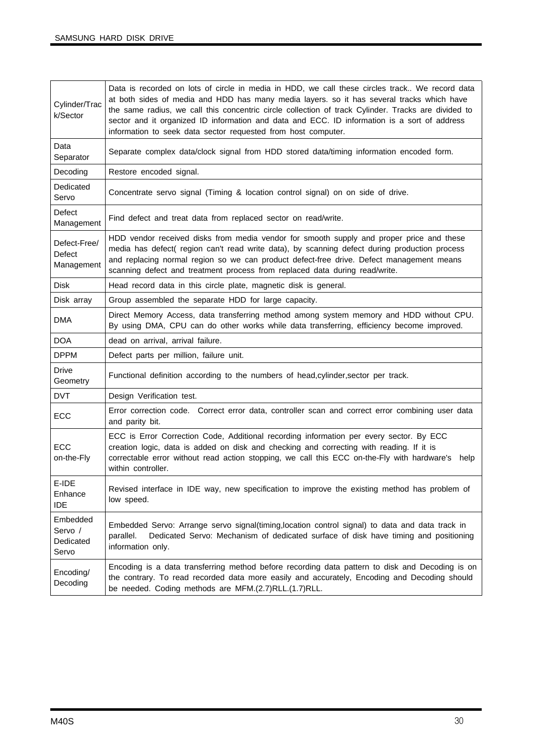| Cylinder/Trac<br>k/Sector                   | Data is recorded on lots of circle in media in HDD, we call these circles track We record data<br>at both sides of media and HDD has many media layers. so it has several tracks which have<br>the same radius, we call this concentric circle collection of track Cylinder. Tracks are divided to<br>sector and it organized ID information and data and ECC. ID information is a sort of address<br>information to seek data sector requested from host computer. |
|---------------------------------------------|---------------------------------------------------------------------------------------------------------------------------------------------------------------------------------------------------------------------------------------------------------------------------------------------------------------------------------------------------------------------------------------------------------------------------------------------------------------------|
| Data<br>Separator                           | Separate complex data/clock signal from HDD stored data/timing information encoded form.                                                                                                                                                                                                                                                                                                                                                                            |
| Decoding                                    | Restore encoded signal.                                                                                                                                                                                                                                                                                                                                                                                                                                             |
| Dedicated<br>Servo                          | Concentrate servo signal (Timing & location control signal) on on side of drive.                                                                                                                                                                                                                                                                                                                                                                                    |
| Defect<br>Management                        | Find defect and treat data from replaced sector on read/write.                                                                                                                                                                                                                                                                                                                                                                                                      |
| Defect-Free/<br><b>Defect</b><br>Management | HDD vendor received disks from media vendor for smooth supply and proper price and these<br>media has defect( region can't read write data), by scanning defect during production process<br>and replacing normal region so we can product defect-free drive. Defect management means<br>scanning defect and treatment process from replaced data during read/write.                                                                                                |
| <b>Disk</b>                                 | Head record data in this circle plate, magnetic disk is general.                                                                                                                                                                                                                                                                                                                                                                                                    |
| Disk array                                  | Group assembled the separate HDD for large capacity.                                                                                                                                                                                                                                                                                                                                                                                                                |
| <b>DMA</b>                                  | Direct Memory Access, data transferring method among system memory and HDD without CPU.<br>By using DMA, CPU can do other works while data transferring, efficiency become improved.                                                                                                                                                                                                                                                                                |
| <b>DOA</b>                                  | dead on arrival, arrival failure.                                                                                                                                                                                                                                                                                                                                                                                                                                   |
| <b>DPPM</b>                                 | Defect parts per million, failure unit.                                                                                                                                                                                                                                                                                                                                                                                                                             |
| <b>Drive</b><br>Geometry                    | Functional definition according to the numbers of head, cylinder, sector per track.                                                                                                                                                                                                                                                                                                                                                                                 |
| <b>DVT</b>                                  | Design Verification test.                                                                                                                                                                                                                                                                                                                                                                                                                                           |
| ECC                                         | Error correction code. Correct error data, controller scan and correct error combining user data<br>and parity bit.                                                                                                                                                                                                                                                                                                                                                 |
| <b>ECC</b><br>on-the-Fly                    | ECC is Error Correction Code, Additional recording information per every sector. By ECC<br>creation logic, data is added on disk and checking and correcting with reading. If it is<br>correctable error without read action stopping, we call this ECC on-the-Fly with hardware's<br>help<br>within controller.                                                                                                                                                    |
| E-IDE<br>Enhance<br><b>IDE</b>              | Revised interface in IDE way, new specification to improve the existing method has problem of<br>low speed.                                                                                                                                                                                                                                                                                                                                                         |
| Embedded<br>Servo /<br>Dedicated<br>Servo   | Embedded Servo: Arrange servo signal(timing, location control signal) to data and data track in<br>Dedicated Servo: Mechanism of dedicated surface of disk have timing and positioning<br>parallel.<br>information only.                                                                                                                                                                                                                                            |
| Encoding/<br>Decoding                       | Encoding is a data transferring method before recording data pattern to disk and Decoding is on<br>the contrary. To read recorded data more easily and accurately, Encoding and Decoding should<br>be needed. Coding methods are MFM.(2.7)RLL.(1.7)RLL.                                                                                                                                                                                                             |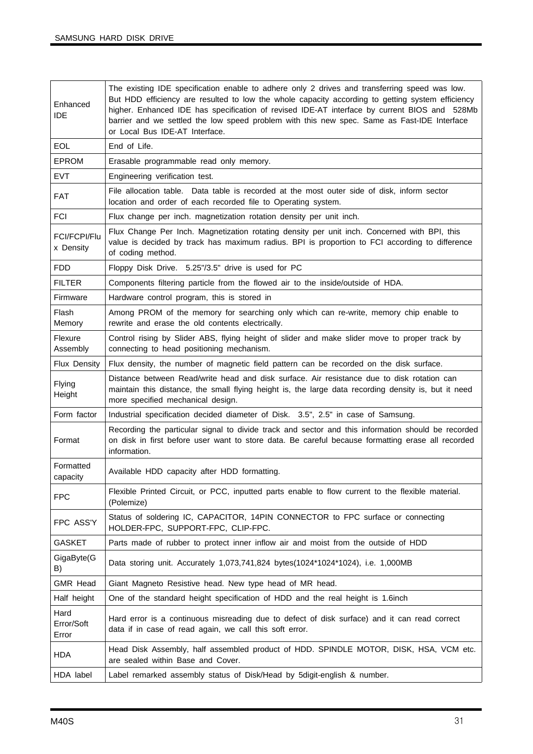| Enhanced<br><b>IDE</b>           | The existing IDE specification enable to adhere only 2 drives and transferring speed was low.<br>But HDD efficiency are resulted to low the whole capacity according to getting system efficiency<br>higher. Enhanced IDE has specification of revised IDE-AT interface by current BIOS and 528Mb<br>barrier and we settled the low speed problem with this new spec. Same as Fast-IDE Interface<br>or Local Bus IDE-AT Interface. |
|----------------------------------|------------------------------------------------------------------------------------------------------------------------------------------------------------------------------------------------------------------------------------------------------------------------------------------------------------------------------------------------------------------------------------------------------------------------------------|
| EOL                              | End of Life.                                                                                                                                                                                                                                                                                                                                                                                                                       |
| <b>EPROM</b>                     | Erasable programmable read only memory.                                                                                                                                                                                                                                                                                                                                                                                            |
| <b>EVT</b>                       | Engineering verification test.                                                                                                                                                                                                                                                                                                                                                                                                     |
| <b>FAT</b>                       | File allocation table. Data table is recorded at the most outer side of disk, inform sector<br>location and order of each recorded file to Operating system.                                                                                                                                                                                                                                                                       |
| <b>FCI</b>                       | Flux change per inch. magnetization rotation density per unit inch.                                                                                                                                                                                                                                                                                                                                                                |
| <b>FCI/FCPI/Flu</b><br>x Density | Flux Change Per Inch. Magnetization rotating density per unit inch. Concerned with BPI, this<br>value is decided by track has maximum radius. BPI is proportion to FCI according to difference<br>of coding method.                                                                                                                                                                                                                |
| <b>FDD</b>                       | Floppy Disk Drive. 5.25"/3.5" drive is used for PC                                                                                                                                                                                                                                                                                                                                                                                 |
| <b>FILTER</b>                    | Components filtering particle from the flowed air to the inside/outside of HDA.                                                                                                                                                                                                                                                                                                                                                    |
| Firmware                         | Hardware control program, this is stored in                                                                                                                                                                                                                                                                                                                                                                                        |
| Flash<br>Memory                  | Among PROM of the memory for searching only which can re-write, memory chip enable to<br>rewrite and erase the old contents electrically.                                                                                                                                                                                                                                                                                          |
| Flexure<br>Assembly              | Control rising by Slider ABS, flying height of slider and make slider move to proper track by<br>connecting to head positioning mechanism.                                                                                                                                                                                                                                                                                         |
| Flux Density                     | Flux density, the number of magnetic field pattern can be recorded on the disk surface.                                                                                                                                                                                                                                                                                                                                            |
| Flying<br>Height                 | Distance between Read/write head and disk surface. Air resistance due to disk rotation can<br>maintain this distance, the small flying height is, the large data recording density is, but it need<br>more specified mechanical design.                                                                                                                                                                                            |
| Form factor                      | Industrial specification decided diameter of Disk. 3.5", 2.5" in case of Samsung.                                                                                                                                                                                                                                                                                                                                                  |
| Format                           | Recording the particular signal to divide track and sector and this information should be recorded<br>on disk in first before user want to store data. Be careful because formatting erase all recorded<br>information.                                                                                                                                                                                                            |
| Formatted<br>capacity            | Available HDD capacity after HDD formatting.                                                                                                                                                                                                                                                                                                                                                                                       |
| <b>FPC</b>                       | Flexible Printed Circuit, or PCC, inputted parts enable to flow current to the flexible material.<br>(Polemize)                                                                                                                                                                                                                                                                                                                    |
| FPC ASS'Y                        | Status of soldering IC, CAPACITOR, 14PIN CONNECTOR to FPC surface or connecting<br>HOLDER-FPC, SUPPORT-FPC, CLIP-FPC.                                                                                                                                                                                                                                                                                                              |
| <b>GASKET</b>                    | Parts made of rubber to protect inner inflow air and moist from the outside of HDD                                                                                                                                                                                                                                                                                                                                                 |
| GigaByte(G<br>B)                 | Data storing unit. Accurately 1,073,741,824 bytes(1024*1024*1024), i.e. 1,000MB                                                                                                                                                                                                                                                                                                                                                    |
| <b>GMR Head</b>                  | Giant Magneto Resistive head. New type head of MR head.                                                                                                                                                                                                                                                                                                                                                                            |
| Half height                      | One of the standard height specification of HDD and the real height is 1.6inch                                                                                                                                                                                                                                                                                                                                                     |
| Hard<br>Error/Soft<br>Error      | Hard error is a continuous misreading due to defect of disk surface) and it can read correct<br>data if in case of read again, we call this soft error.                                                                                                                                                                                                                                                                            |
| <b>HDA</b>                       | Head Disk Assembly, half assembled product of HDD. SPINDLE MOTOR, DISK, HSA, VCM etc.<br>are sealed within Base and Cover.                                                                                                                                                                                                                                                                                                         |
| HDA label                        | Label remarked assembly status of Disk/Head by 5digit-english & number.                                                                                                                                                                                                                                                                                                                                                            |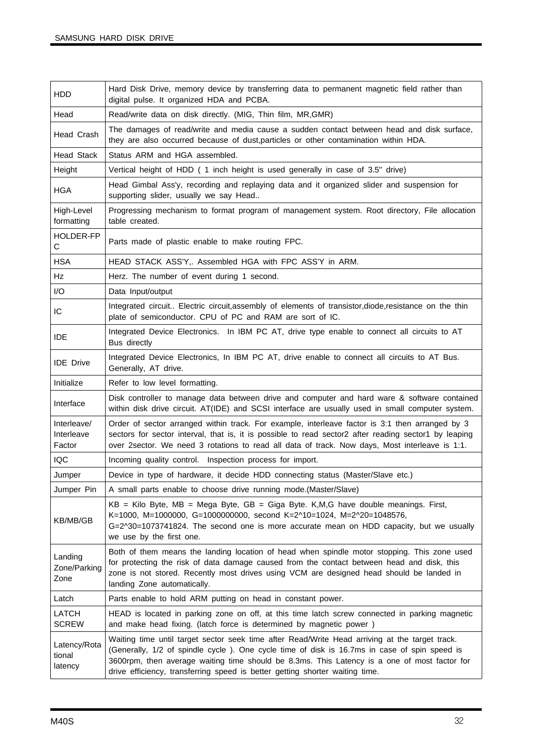| <b>HDD</b>                          | Hard Disk Drive, memory device by transferring data to permanent magnetic field rather than<br>digital pulse. It organized HDA and PCBA.                                                                                                                                                                                                                                       |
|-------------------------------------|--------------------------------------------------------------------------------------------------------------------------------------------------------------------------------------------------------------------------------------------------------------------------------------------------------------------------------------------------------------------------------|
| Head                                | Read/write data on disk directly. (MIG, Thin film, MR, GMR)                                                                                                                                                                                                                                                                                                                    |
| Head Crash                          | The damages of read/write and media cause a sudden contact between head and disk surface,<br>they are also occurred because of dust, particles or other contamination within HDA.                                                                                                                                                                                              |
| <b>Head Stack</b>                   | Status ARM and HGA assembled.                                                                                                                                                                                                                                                                                                                                                  |
| Height                              | Vertical height of HDD (1 inch height is used generally in case of 3.5" drive)                                                                                                                                                                                                                                                                                                 |
| <b>HGA</b>                          | Head Gimbal Ass'y, recording and replaying data and it organized slider and suspension for<br>supporting slider, usually we say Head                                                                                                                                                                                                                                           |
| High-Level<br>formatting            | Progressing mechanism to format program of management system. Root directory, File allocation<br>table created.                                                                                                                                                                                                                                                                |
| HOLDER-FP<br>$\mathbf C$            | Parts made of plastic enable to make routing FPC.                                                                                                                                                                                                                                                                                                                              |
| <b>HSA</b>                          | HEAD STACK ASS'Y,. Assembled HGA with FPC ASS'Y in ARM.                                                                                                                                                                                                                                                                                                                        |
| Hz                                  | Herz. The number of event during 1 second.                                                                                                                                                                                                                                                                                                                                     |
| I/O                                 | Data Input/output                                                                                                                                                                                                                                                                                                                                                              |
| IC                                  | Integrated circuit Electric circuit, assembly of elements of transistor, diode, resistance on the thin<br>plate of semiconductor. CPU of PC and RAM are sort of IC.                                                                                                                                                                                                            |
| <b>IDE</b>                          | Integrated Device Electronics. In IBM PC AT, drive type enable to connect all circuits to AT<br>Bus directly                                                                                                                                                                                                                                                                   |
| <b>IDE</b> Drive                    | Integrated Device Electronics, In IBM PC AT, drive enable to connect all circuits to AT Bus.<br>Generally, AT drive.                                                                                                                                                                                                                                                           |
| Initialize                          | Refer to low level formatting.                                                                                                                                                                                                                                                                                                                                                 |
| Interface                           | Disk controller to manage data between drive and computer and hard ware & software contained<br>within disk drive circuit. AT(IDE) and SCSI interface are usually used in small computer system.                                                                                                                                                                               |
| Interleave/<br>Interleave<br>Factor | Order of sector arranged within track. For example, interleave factor is 3:1 then arranged by 3<br>sectors for sector interval, that is, it is possible to read sector2 after reading sector1 by leaping<br>over 2sector. We need 3 rotations to read all data of track. Now days, Most interleave is 1:1.                                                                     |
| IQC                                 | Incoming quality control. Inspection process for import.                                                                                                                                                                                                                                                                                                                       |
| Jumper                              | Device in type of hardware, it decide HDD connecting status (Master/Slave etc.)                                                                                                                                                                                                                                                                                                |
| Jumper Pin                          | A small parts enable to choose drive running mode. (Master/Slave)                                                                                                                                                                                                                                                                                                              |
| KB/MB/GB                            | $KB = Kilo$ Byte, MB = Mega Byte, GB = Giga Byte. K, M, G have double meanings. First,<br>K=1000, M=1000000, G=1000000000, second K=2^10=1024, M=2^20=1048576,<br>G=2^30=1073741824. The second one is more accurate mean on HDD capacity, but we usually<br>we use by the first one.                                                                                          |
| Landing<br>Zone/Parking<br>Zone     | Both of them means the landing location of head when spindle motor stopping. This zone used<br>for protecting the risk of data damage caused from the contact between head and disk, this<br>zone is not stored. Recently most drives using VCM are designed head should be landed in<br>landing Zone automatically.                                                           |
| Latch                               | Parts enable to hold ARM putting on head in constant power.                                                                                                                                                                                                                                                                                                                    |
| LATCH<br><b>SCREW</b>               | HEAD is located in parking zone on off, at this time latch screw connected in parking magnetic<br>and make head fixing. (latch force is determined by magnetic power)                                                                                                                                                                                                          |
| Latency/Rota<br>tional<br>latency   | Waiting time until target sector seek time after Read/Write Head arriving at the target track.<br>(Generally, 1/2 of spindle cycle). One cycle time of disk is 16.7ms in case of spin speed is<br>3600rpm, then average waiting time should be 8.3ms. This Latency is a one of most factor for<br>drive efficiency, transferring speed is better getting shorter waiting time. |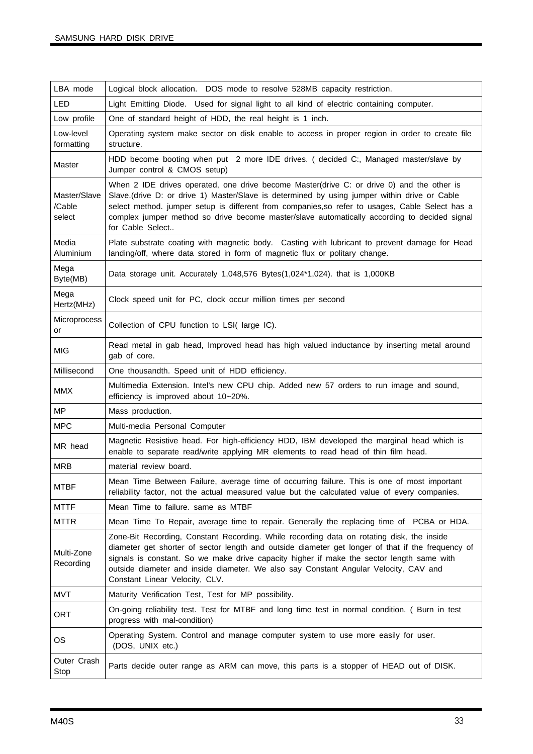| LBA mode                         | Logical block allocation. DOS mode to resolve 528MB capacity restriction.                                                                                                                                                                                                                                                                                                                                             |
|----------------------------------|-----------------------------------------------------------------------------------------------------------------------------------------------------------------------------------------------------------------------------------------------------------------------------------------------------------------------------------------------------------------------------------------------------------------------|
| LED                              | Light Emitting Diode. Used for signal light to all kind of electric containing computer.                                                                                                                                                                                                                                                                                                                              |
| Low profile                      | One of standard height of HDD, the real height is 1 inch.                                                                                                                                                                                                                                                                                                                                                             |
| Low-level<br>formatting          | Operating system make sector on disk enable to access in proper region in order to create file<br>structure.                                                                                                                                                                                                                                                                                                          |
| Master                           | HDD become booting when put 2 more IDE drives. ( decided C:, Managed master/slave by<br>Jumper control & CMOS setup)                                                                                                                                                                                                                                                                                                  |
| Master/Slave<br>/Cable<br>select | When 2 IDE drives operated, one drive become Master(drive C: or drive 0) and the other is<br>Slave.(drive D: or drive 1) Master/Slave is determined by using jumper within drive or Cable<br>select method. jumper setup is different from companies, so refer to usages, Cable Select has a<br>complex jumper method so drive become master/slave automatically according to decided signal<br>for Cable Select      |
| Media<br>Aluminium               | Plate substrate coating with magnetic body. Casting with lubricant to prevent damage for Head<br>landing/off, where data stored in form of magnetic flux or politary change.                                                                                                                                                                                                                                          |
| Mega<br>Byte(MB)                 | Data storage unit. Accurately 1,048,576 Bytes(1,024*1,024). that is 1,000KB                                                                                                                                                                                                                                                                                                                                           |
| Mega<br>Hertz(MHz)               | Clock speed unit for PC, clock occur million times per second                                                                                                                                                                                                                                                                                                                                                         |
| Microprocess<br>or               | Collection of CPU function to LSI(large IC).                                                                                                                                                                                                                                                                                                                                                                          |
| <b>MIG</b>                       | Read metal in gab head, Improved head has high valued inductance by inserting metal around<br>gab of core.                                                                                                                                                                                                                                                                                                            |
| Millisecond                      | One thousandth. Speed unit of HDD efficiency.                                                                                                                                                                                                                                                                                                                                                                         |
| <b>MMX</b>                       | Multimedia Extension. Intel's new CPU chip. Added new 57 orders to run image and sound,<br>efficiency is improved about 10~20%.                                                                                                                                                                                                                                                                                       |
| <b>MP</b>                        | Mass production.                                                                                                                                                                                                                                                                                                                                                                                                      |
| <b>MPC</b>                       | Multi-media Personal Computer                                                                                                                                                                                                                                                                                                                                                                                         |
| MR head                          | Magnetic Resistive head. For high-efficiency HDD, IBM developed the marginal head which is<br>enable to separate read/write applying MR elements to read head of thin film head.                                                                                                                                                                                                                                      |
| <b>MRB</b>                       | material review board.                                                                                                                                                                                                                                                                                                                                                                                                |
| MTBF                             | Mean Time Between Failure, average time of occurring failure. This is one of most important<br>reliability factor, not the actual measured value but the calculated value of every companies.                                                                                                                                                                                                                         |
| <b>MTTF</b>                      | Mean Time to failure. same as MTBF                                                                                                                                                                                                                                                                                                                                                                                    |
| MTTR                             | Mean Time To Repair, average time to repair. Generally the replacing time of PCBA or HDA.                                                                                                                                                                                                                                                                                                                             |
| Multi-Zone<br>Recording          | Zone-Bit Recording, Constant Recording. While recording data on rotating disk, the inside<br>diameter get shorter of sector length and outside diameter get longer of that if the frequency of<br>signals is constant. So we make drive capacity higher if make the sector length same with<br>outside diameter and inside diameter. We also say Constant Angular Velocity, CAV and<br>Constant Linear Velocity, CLV. |
| MVT                              | Maturity Verification Test, Test for MP possibility.                                                                                                                                                                                                                                                                                                                                                                  |
| <b>ORT</b>                       | On-going reliability test. Test for MTBF and long time test in normal condition. ( Burn in test<br>progress with mal-condition)                                                                                                                                                                                                                                                                                       |
| OS.                              | Operating System. Control and manage computer system to use more easily for user.<br>(DOS, UNIX etc.)                                                                                                                                                                                                                                                                                                                 |
| Outer Crash                      |                                                                                                                                                                                                                                                                                                                                                                                                                       |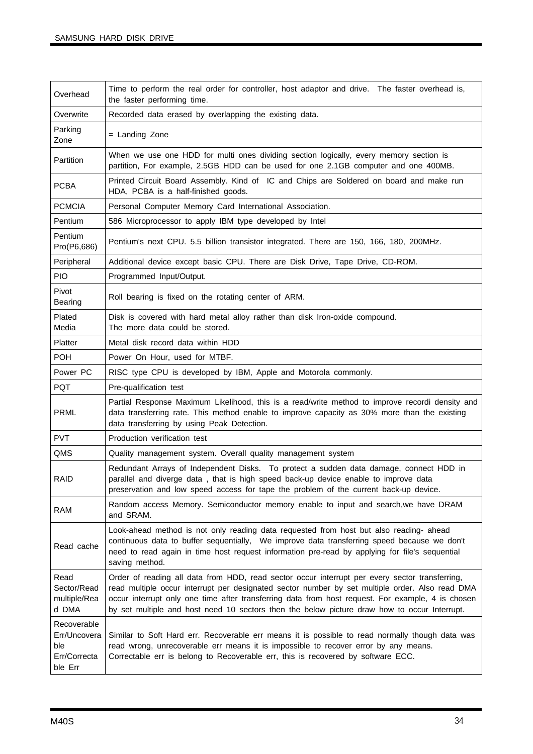| Overhead                                                      | Time to perform the real order for controller, host adaptor and drive. The faster overhead is,<br>the faster performing time.                                                                                                                                                                                                                                                                          |
|---------------------------------------------------------------|--------------------------------------------------------------------------------------------------------------------------------------------------------------------------------------------------------------------------------------------------------------------------------------------------------------------------------------------------------------------------------------------------------|
| Overwrite                                                     | Recorded data erased by overlapping the existing data.                                                                                                                                                                                                                                                                                                                                                 |
| Parking<br>Zone                                               | = Landing Zone                                                                                                                                                                                                                                                                                                                                                                                         |
| Partition                                                     | When we use one HDD for multi ones dividing section logically, every memory section is<br>partition, For example, 2.5GB HDD can be used for one 2.1GB computer and one 400MB.                                                                                                                                                                                                                          |
| <b>PCBA</b>                                                   | Printed Circuit Board Assembly. Kind of IC and Chips are Soldered on board and make run<br>HDA, PCBA is a half-finished goods.                                                                                                                                                                                                                                                                         |
| <b>PCMCIA</b>                                                 | Personal Computer Memory Card International Association.                                                                                                                                                                                                                                                                                                                                               |
| Pentium                                                       | 586 Microprocessor to apply IBM type developed by Intel                                                                                                                                                                                                                                                                                                                                                |
| Pentium<br>Pro(P6,686)                                        | Pentium's next CPU. 5.5 billion transistor integrated. There are 150, 166, 180, 200MHz.                                                                                                                                                                                                                                                                                                                |
| Peripheral                                                    | Additional device except basic CPU. There are Disk Drive, Tape Drive, CD-ROM.                                                                                                                                                                                                                                                                                                                          |
| <b>PIO</b>                                                    | Programmed Input/Output.                                                                                                                                                                                                                                                                                                                                                                               |
| Pivot<br>Bearing                                              | Roll bearing is fixed on the rotating center of ARM.                                                                                                                                                                                                                                                                                                                                                   |
| Plated<br>Media                                               | Disk is covered with hard metal alloy rather than disk Iron-oxide compound.<br>The more data could be stored.                                                                                                                                                                                                                                                                                          |
| Platter                                                       | Metal disk record data within HDD                                                                                                                                                                                                                                                                                                                                                                      |
| <b>POH</b>                                                    | Power On Hour, used for MTBF.                                                                                                                                                                                                                                                                                                                                                                          |
| Power PC                                                      | RISC type CPU is developed by IBM, Apple and Motorola commonly.                                                                                                                                                                                                                                                                                                                                        |
| <b>PQT</b>                                                    | Pre-qualification test                                                                                                                                                                                                                                                                                                                                                                                 |
| <b>PRML</b>                                                   | Partial Response Maximum Likelihood, this is a read/write method to improve recordi density and<br>data transferring rate. This method enable to improve capacity as 30% more than the existing<br>data transferring by using Peak Detection.                                                                                                                                                          |
| <b>PVT</b>                                                    | Production verification test                                                                                                                                                                                                                                                                                                                                                                           |
| QMS                                                           | Quality management system. Overall quality management system                                                                                                                                                                                                                                                                                                                                           |
| <b>RAID</b>                                                   | Redundant Arrays of Independent Disks. To protect a sudden data damage, connect HDD in<br>parallel and diverge data, that is high speed back-up device enable to improve data<br>preservation and low speed access for tape the problem of the current back-up device.                                                                                                                                 |
| <b>RAM</b>                                                    | Random access Memory. Semiconductor memory enable to input and search, we have DRAM<br>and SRAM.                                                                                                                                                                                                                                                                                                       |
| Read cache                                                    | Look-ahead method is not only reading data requested from host but also reading- ahead<br>continuous data to buffer sequentially, We improve data transferring speed because we don't<br>need to read again in time host request information pre-read by applying for file's sequential<br>saving method.                                                                                              |
| Read<br>Sector/Read<br>multiple/Rea<br>d DMA                  | Order of reading all data from HDD, read sector occur interrupt per every sector transferring,<br>read multiple occur interrupt per designated sector number by set multiple order. Also read DMA<br>occur interrupt only one time after transferring data from host request. For example, 4 is chosen<br>by set multiple and host need 10 sectors then the below picture draw how to occur Interrupt. |
| Recoverable<br>Err/Uncovera<br>ble<br>Err/Correcta<br>ble Err | Similar to Soft Hard err. Recoverable err means it is possible to read normally though data was<br>read wrong, unrecoverable err means it is impossible to recover error by any means.<br>Correctable err is belong to Recoverable err, this is recovered by software ECC.                                                                                                                             |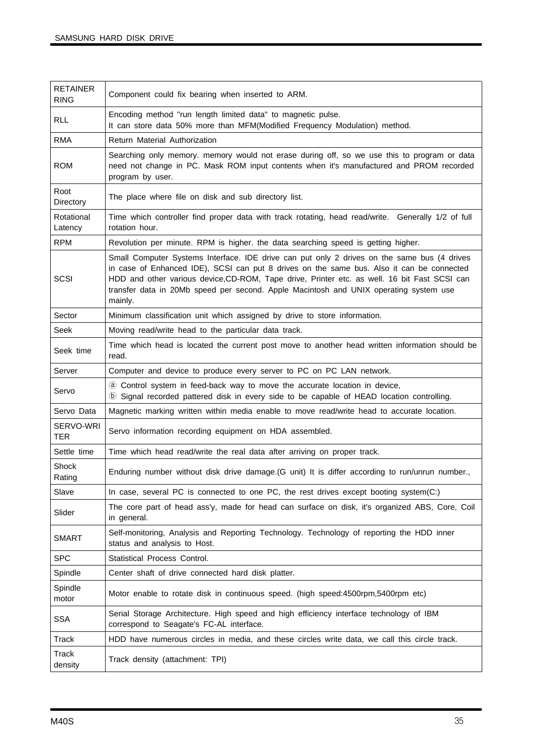| <b>RETAINER</b><br><b>RING</b> | Component could fix bearing when inserted to ARM.                                                                                                                                                                                                                                                                                                                                            |
|--------------------------------|----------------------------------------------------------------------------------------------------------------------------------------------------------------------------------------------------------------------------------------------------------------------------------------------------------------------------------------------------------------------------------------------|
| <b>RLL</b>                     | Encoding method "run length limited data" to magnetic pulse.<br>It can store data 50% more than MFM(Modified Frequency Modulation) method.                                                                                                                                                                                                                                                   |
| <b>RMA</b>                     | Return Material Authorization                                                                                                                                                                                                                                                                                                                                                                |
| <b>ROM</b>                     | Searching only memory. memory would not erase during off, so we use this to program or data<br>need not change in PC. Mask ROM input contents when it's manufactured and PROM recorded<br>program by user.                                                                                                                                                                                   |
| Root<br>Directory              | The place where file on disk and sub directory list.                                                                                                                                                                                                                                                                                                                                         |
| Rotational<br>Latency          | Time which controller find proper data with track rotating, head read/write. Generally 1/2 of full<br>rotation hour.                                                                                                                                                                                                                                                                         |
| <b>RPM</b>                     | Revolution per minute. RPM is higher. the data searching speed is getting higher.                                                                                                                                                                                                                                                                                                            |
| SCSI                           | Small Computer Systems Interface. IDE drive can put only 2 drives on the same bus (4 drives<br>in case of Enhanced IDE), SCSI can put 8 drives on the same bus. Also it can be connected<br>HDD and other various device, CD-ROM, Tape drive, Printer etc. as well. 16 bit Fast SCSI can<br>transfer data in 20Mb speed per second. Apple Macintosh and UNIX operating system use<br>mainly. |
| Sector                         | Minimum classification unit which assigned by drive to store information.                                                                                                                                                                                                                                                                                                                    |
| Seek                           | Moving read/write head to the particular data track.                                                                                                                                                                                                                                                                                                                                         |
| Seek time                      | Time which head is located the current post move to another head written information should be<br>read.                                                                                                                                                                                                                                                                                      |
| Server                         | Computer and device to produce every server to PC on PC LAN network.                                                                                                                                                                                                                                                                                                                         |
| Servo                          | 3 Control system in feed-back way to move the accurate location in device,<br>10 Signal recorded pattered disk in every side to be capable of HEAD location controlling.                                                                                                                                                                                                                     |
| Servo Data                     | Magnetic marking written within media enable to move read/write head to accurate location.                                                                                                                                                                                                                                                                                                   |
| SERVO-WRI<br><b>TER</b>        | Servo information recording equipment on HDA assembled.                                                                                                                                                                                                                                                                                                                                      |
| Settle time                    | Time which head read/write the real data after arriving on proper track.                                                                                                                                                                                                                                                                                                                     |
| Shock<br>Rating                | Enduring number without disk drive damage. (G unit) It is differ according to run/unrun number.,                                                                                                                                                                                                                                                                                             |
| Slave                          | In case, several PC is connected to one PC, the rest drives except booting system(C:)                                                                                                                                                                                                                                                                                                        |
| Slider                         | The core part of head ass'y, made for head can surface on disk, it's organized ABS, Core, Coil<br>in general.                                                                                                                                                                                                                                                                                |
| <b>SMART</b>                   | Self-monitoring, Analysis and Reporting Technology. Technology of reporting the HDD inner<br>status and analysis to Host.                                                                                                                                                                                                                                                                    |
| <b>SPC</b>                     | Statistical Process Control.                                                                                                                                                                                                                                                                                                                                                                 |
| Spindle                        | Center shaft of drive connected hard disk platter.                                                                                                                                                                                                                                                                                                                                           |
| Spindle<br>motor               | Motor enable to rotate disk in continuous speed. (high speed:4500rpm,5400rpm etc)                                                                                                                                                                                                                                                                                                            |
| <b>SSA</b>                     | Serial Storage Architecture. High speed and high efficiency interface technology of IBM<br>correspond to Seagate's FC-AL interface.                                                                                                                                                                                                                                                          |
| Track                          | HDD have numerous circles in media, and these circles write data, we call this circle track.                                                                                                                                                                                                                                                                                                 |
| Track<br>density               | Track density (attachment: TPI)                                                                                                                                                                                                                                                                                                                                                              |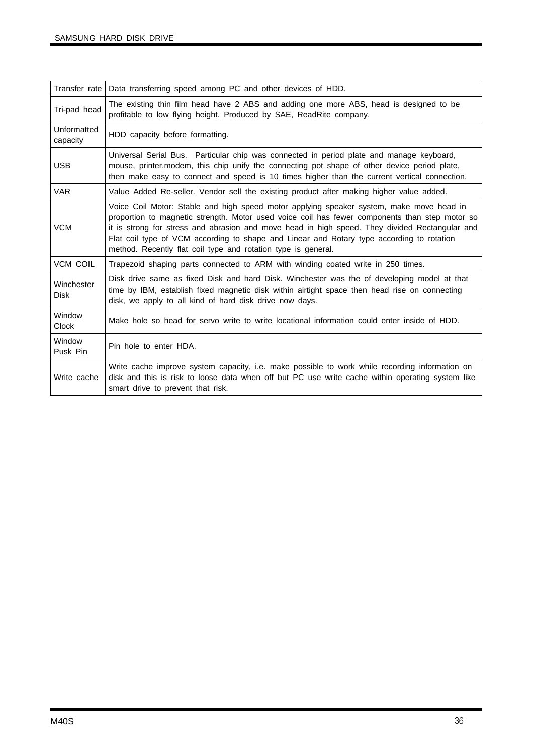| Transfer rate             | Data transferring speed among PC and other devices of HDD.                                                                                                                                                                                                                                                                                                                                                                                                 |
|---------------------------|------------------------------------------------------------------------------------------------------------------------------------------------------------------------------------------------------------------------------------------------------------------------------------------------------------------------------------------------------------------------------------------------------------------------------------------------------------|
| Tri-pad head              | The existing thin film head have 2 ABS and adding one more ABS, head is designed to be<br>profitable to low flying height. Produced by SAE, ReadRite company.                                                                                                                                                                                                                                                                                              |
| Unformatted<br>capacity   | HDD capacity before formatting.                                                                                                                                                                                                                                                                                                                                                                                                                            |
| <b>USB</b>                | Universal Serial Bus. Particular chip was connected in period plate and manage keyboard,<br>mouse, printer, modem, this chip unify the connecting pot shape of other device period plate,<br>then make easy to connect and speed is 10 times higher than the current vertical connection.                                                                                                                                                                  |
| <b>VAR</b>                | Value Added Re-seller. Vendor sell the existing product after making higher value added.                                                                                                                                                                                                                                                                                                                                                                   |
| <b>VCM</b>                | Voice Coil Motor: Stable and high speed motor applying speaker system, make move head in<br>proportion to magnetic strength. Motor used voice coil has fewer components than step motor so<br>it is strong for stress and abrasion and move head in high speed. They divided Rectangular and<br>Flat coil type of VCM according to shape and Linear and Rotary type according to rotation<br>method. Recently flat coil type and rotation type is general. |
| <b>VCM COIL</b>           | Trapezoid shaping parts connected to ARM with winding coated write in 250 times.                                                                                                                                                                                                                                                                                                                                                                           |
| Winchester<br><b>Disk</b> | Disk drive same as fixed Disk and hard Disk. Winchester was the of developing model at that<br>time by IBM, establish fixed magnetic disk within airtight space then head rise on connecting<br>disk, we apply to all kind of hard disk drive now days.                                                                                                                                                                                                    |
| Window<br><b>Clock</b>    | Make hole so head for servo write to write locational information could enter inside of HDD.                                                                                                                                                                                                                                                                                                                                                               |
| Window<br>Pusk Pin        | Pin hole to enter HDA.                                                                                                                                                                                                                                                                                                                                                                                                                                     |
| Write cache               | Write cache improve system capacity, i.e. make possible to work while recording information on<br>disk and this is risk to loose data when off but PC use write cache within operating system like<br>smart drive to prevent that risk.                                                                                                                                                                                                                    |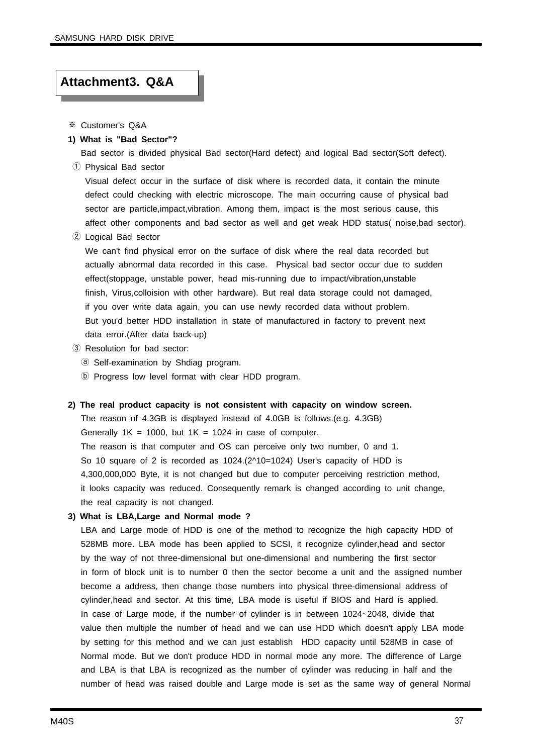#### **Attachment3. Q&A**

- ※ Customer's Q&A
- **1) What is "Bad Sector"?**

Bad sector is divided physical Bad sector(Hard defect) and logical Bad sector(Soft defect). ① Physical Bad sector

Visual defect occur in the surface of disk where is recorded data, it contain the minute defect could checking with electric microscope. The main occurring cause of physical bad sector are particle,impact,vibration. Among them, impact is the most serious cause, this affect other components and bad sector as well and get weak HDD status( noise,bad sector).

② Logical Bad sector

We can't find physical error on the surface of disk where the real data recorded but actually abnormal data recorded in this case. Physical bad sector occur due to sudden effect(stoppage, unstable power, head mis-running due to impact/vibration,unstable finish, Virus,colloision with other hardware). But real data storage could not damaged, if you over write data again, you can use newly recorded data without problem. But you'd better HDD installation in state of manufactured in factory to prevent next data error.(After data back-up)

- ③ Resolution for bad sector:
	- ⓐ Self-examination by Shdiag program.
	- ⓑ Progress low level format with clear HDD program.

#### **2) The real product capacity is not consistent with capacity on window screen.**

The reason of 4.3GB is displayed instead of 4.0GB is follows.(e.g. 4.3GB) Generally  $1K = 1000$ , but  $1K = 1024$  in case of computer. The reason is that computer and OS can perceive only two number, 0 and 1. So 10 square of 2 is recorded as 1024.(2^10=1024) User's capacity of HDD is 4,300,000,000 Byte, it is not changed but due to computer perceiving restriction method, it looks capacity was reduced. Consequently remark is changed according to unit change, the real capacity is not changed.

#### **3) What is LBA,Large and Normal mode ?**

LBA and Large mode of HDD is one of the method to recognize the high capacity HDD of 528MB more. LBA mode has been applied to SCSI, it recognize cylinder,head and sector by the way of not three-dimensional but one-dimensional and numbering the first sector in form of block unit is to number 0 then the sector become a unit and the assigned number become a address, then change those numbers into physical three-dimensional address of cylinder,head and sector. At this time, LBA mode is useful if BIOS and Hard is applied. In case of Large mode, if the number of cylinder is in between 1024~2048, divide that value then multiple the number of head and we can use HDD which doesn't apply LBA mode by setting for this method and we can just establish HDD capacity until 528MB in case of Normal mode. But we don't produce HDD in normal mode any more. The difference of Large and LBA is that LBA is recognized as the number of cylinder was reducing in half and the number of head was raised double and Large mode is set as the same way of general Normal